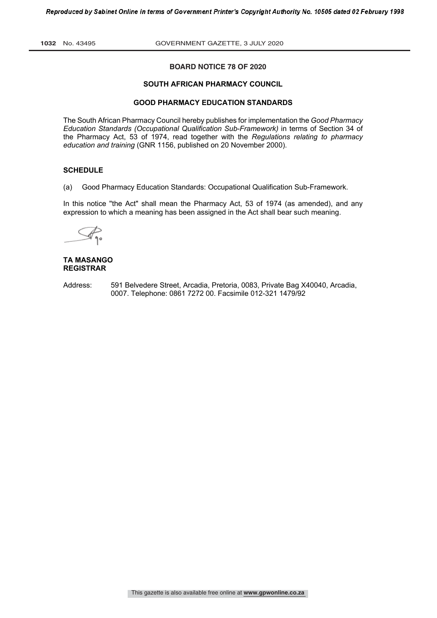**1032** No. 43495 GOVERNMENT GAZETTE, 3 JULY 2020

# **BOARD NOTICE 78 OF 2020**

#### **SOUTH AFRICAN PHARMACY COUNCIL**

# **GOOD PHARMACY EDUCATION STANDARDS**

The South African Pharmacy Council hereby publishes for implementation the *Good Pharmacy Education Standards (Occupational Qualification Sub-Framework)* in terms of Section 34 of the Pharmacy Act, 53 of 1974, read together with the *Regulations relating to pharmacy education and training* (GNR 1156, published on 20 November 2000).

# **SCHEDULE**

(a) Good Pharmacy Education Standards: Occupational Qualification Sub-Framework.

In this notice "the Act" shall mean the Pharmacy Act, 53 of 1974 (as amended), and any expression to which a meaning has been assigned in the Act shall bear such meaning.

# **TA MASANGO REGISTRAR**

Address: 591 Belvedere Street, Arcadia, Pretoria, 0083, Private Bag X40040, Arcadia, 0007. Telephone: 0861 7272 00. Facsimile 012-321 1479/92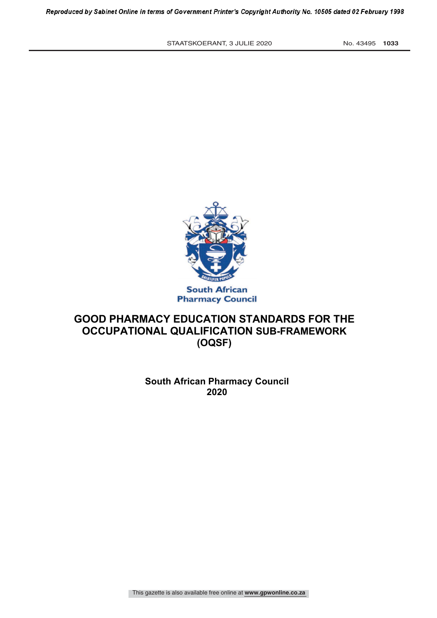STAATSKOERANT, 3 JULIE 2020 No. 43495 1033



# **GOOD PHARMACY EDUCATION STANDARDS FOR THE OCCUPATIONAL QUALIFICATION SUB-FRAMEWORK (OQSF)**

**South African Pharmacy Council 2020**

This gazette is also available free online at **www.gpwonline.co.za**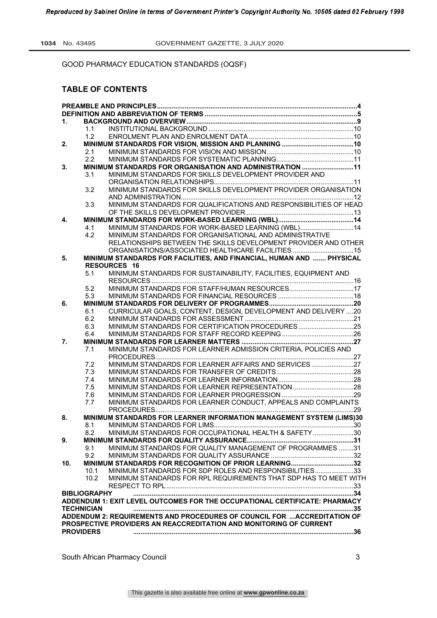# **TABLE OF CONTENTS**

| 1.               |                     |                                                                            |  |
|------------------|---------------------|----------------------------------------------------------------------------|--|
|                  | 1.1                 |                                                                            |  |
|                  | 1.2                 |                                                                            |  |
| 2.               |                     |                                                                            |  |
|                  | 2.1                 |                                                                            |  |
|                  | 2.2                 |                                                                            |  |
| 3.               |                     | MINIMUM STANDARDS FOR ORGANISATION AND ADMINISTRATION 11                   |  |
|                  | 3.1                 | MINIMUM STANDARDS FOR SKILLS DEVELOPMENT PROVIDER AND                      |  |
|                  |                     |                                                                            |  |
|                  | 3.2                 | MINIMUM STANDARDS FOR SKILLS DEVELOPMENT PROVIDER ORGANISATION             |  |
|                  |                     |                                                                            |  |
|                  | 3.3                 | MINIMUM STANDARDS FOR QUALIFICATIONS AND RESPONSIBILITIES OF HEAD          |  |
|                  |                     |                                                                            |  |
| 4.               |                     |                                                                            |  |
|                  | 4.1                 | MINIMUM STANDARDS FOR WORK-BASED LEARNING (WBL) 14                         |  |
|                  | 4.2                 | MINIMUM STANDARDS FOR ORGANISATIONAL AND ADMINISTRATIVE                    |  |
|                  |                     | RELATIONSHIPS BETWEEN THE SKILLS DEVELOPMENT PROVIDER AND OTHER            |  |
|                  |                     | ORGANISATIONS/ASSOCIATED HEALTHCARE FACILITIES 15                          |  |
| 5.               |                     | MINIMUM STANDARDS FOR FACILITIES, AND FINANCIAL, HUMAN AND  PHYSICAL       |  |
|                  |                     | <b>RESOURCES 16</b>                                                        |  |
|                  | 5.1                 | MINIMUM STANDARDS FOR SUSTAINABILITY, FACILITIES, EQUIPMENT AND            |  |
|                  |                     |                                                                            |  |
|                  | 5.2                 | MINIMUM STANDARDS FOR STAFF/HUMAN RESOURCES17                              |  |
|                  | 5.3                 |                                                                            |  |
| 6.               |                     |                                                                            |  |
|                  | 6.1                 | CURRICULAR GOALS, CONTENT, DESIGN, DEVELOPMENT AND DELIVERY 20             |  |
|                  | 6.2                 |                                                                            |  |
|                  | 6.3                 | MINIMUM STANDARDS FOR CERTIFICATION PROCEDURES25                           |  |
|                  | 6.4                 |                                                                            |  |
| 7.               |                     |                                                                            |  |
|                  | 7.1                 | MINIMUM STANDARDS FOR LEARNER ADMISSION CRITERIA, POLICIES AND             |  |
|                  |                     | MINIMUM STANDARDS FOR LEARNER AFFAIRS AND SERVICES27                       |  |
|                  | 7.2<br>7.3          |                                                                            |  |
|                  | 7.4                 |                                                                            |  |
|                  | 7.5                 |                                                                            |  |
|                  | 7.6                 |                                                                            |  |
|                  | 7.7                 | MINIMUM STANDARDS FOR LEARNER CONDUCT, APPEALS AND COMPLAINTS              |  |
|                  |                     |                                                                            |  |
| 8.               |                     | MINIMUM STANDARDS FOR LEARNER INFORMATION MANAGEMENT SYSTEM (LIMS)30       |  |
|                  | 8.1                 |                                                                            |  |
|                  | 8.2                 | MINIMUM STANDARDS FOR OCCUPATIONAL HEALTH & SAFETY 30                      |  |
| 9.               |                     |                                                                            |  |
|                  | 9.1                 | MINIMUM STANDARDS FOR QUALITY MANAGEMENT OF PROGRAMMES 31                  |  |
|                  | 9.2                 |                                                                            |  |
| 10.              |                     | MINIMUM STANDARDS FOR RECOGNITION OF PRIOR LEARNING32                      |  |
|                  | 10.1                | MINIMUM STANDARDS FOR SDP ROLES AND RESPONSIBILITIES33                     |  |
|                  | 10.2 <sub>1</sub>   | MINIMUM STANDARDS FOR RPL REQUIREMENTS THAT SDP HAS TO MEET WITH           |  |
|                  |                     |                                                                            |  |
|                  | <b>BIBLIOGRAPHY</b> |                                                                            |  |
|                  |                     | ADDENDUM 1: EXIT LEVEL OUTCOMES FOR THE OCCUPATIONAL CERTIFICATE: PHARMACY |  |
|                  | <b>TECHNICIAN</b>   |                                                                            |  |
|                  |                     | ADDENDUM 2: REQUIREMENTS AND PROCEDURES OF COUNCIL FOR  ACCREDITATION OF   |  |
|                  |                     | PROSPECTIVE PROVIDERS AN REACCREDITATION AND MONITORING OF CURRENT         |  |
| <b>PROVIDERS</b> |                     |                                                                            |  |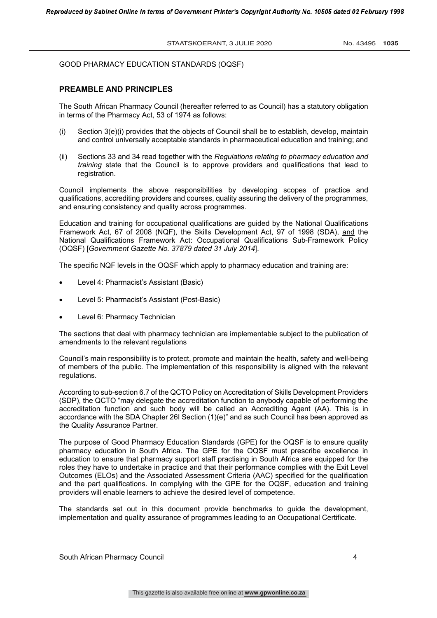# **PREAMBLE AND PRINCIPLES**

The South African Pharmacy Council (hereafter referred to as Council) has a statutory obligation in terms of the Pharmacy Act, 53 of 1974 as follows:

- (i) Section 3(e)(i) provides that the objects of Council shall be to establish, develop, maintain and control universally acceptable standards in pharmaceutical education and training; and
- (ii) Sections 33 and 34 read together with the *Regulations relating to pharmacy education and training* state that the Council is to approve providers and qualifications that lead to registration.

Council implements the above responsibilities by developing scopes of practice and qualifications, accrediting providers and courses, quality assuring the delivery of the programmes, and ensuring consistency and quality across programmes.

Education and training for occupational qualifications are guided by the National Qualifications Framework Act, 67 of 2008 (NQF), the Skills Development Act, 97 of 1998 (SDA), and the National Qualifications Framework Act: Occupational Qualifications Sub-Framework Policy (OQSF) [*Government Gazette No. 37879 dated 31 July 2014*].

The specific NQF levels in the OQSF which apply to pharmacy education and training are:

- Level 4: Pharmacist's Assistant (Basic)
- Level 5: Pharmacist's Assistant (Post-Basic)
- Level 6: Pharmacy Technician

The sections that deal with pharmacy technician are implementable subject to the publication of amendments to the relevant regulations

Council's main responsibility is to protect, promote and maintain the health, safety and well-being of members of the public. The implementation of this responsibility is aligned with the relevant regulations.

According to sub-section 6.7 of the QCTO Policy on Accreditation of Skills Development Providers (SDP), the QCTO "may delegate the accreditation function to anybody capable of performing the accreditation function and such body will be called an Accrediting Agent (AA). This is in accordance with the SDA Chapter 26I Section (1)(e)" and as such Council has been approved as the Quality Assurance Partner.

The purpose of Good Pharmacy Education Standards (GPE) for the OQSF is to ensure quality pharmacy education in South Africa. The GPE for the OQSF must prescribe excellence in education to ensure that pharmacy support staff practising in South Africa are equipped for the roles they have to undertake in practice and that their performance complies with the Exit Level Outcomes (ELOs) and the Associated Assessment Criteria (AAC) specified for the qualification and the part qualifications. In complying with the GPE for the OQSF, education and training providers will enable learners to achieve the desired level of competence.

The standards set out in this document provide benchmarks to guide the development, implementation and quality assurance of programmes leading to an Occupational Certificate.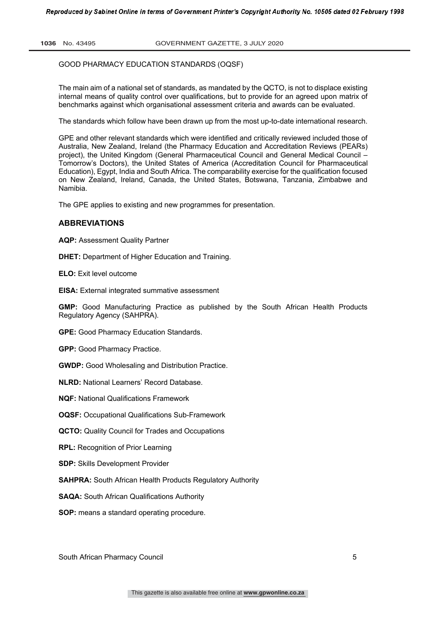The main aim of a national set of standards, as mandated by the QCTO, is not to displace existing internal means of quality control over qualifications, but to provide for an agreed upon matrix of benchmarks against which organisational assessment criteria and awards can be evaluated.

The standards which follow have been drawn up from the most up-to-date international research.

GPE and other relevant standards which were identified and critically reviewed included those of Australia, New Zealand, Ireland (the Pharmacy Education and Accreditation Reviews (PEARs) project), the United Kingdom (General Pharmaceutical Council and General Medical Council – Tomorrow's Doctors), the United States of America (Accreditation Council for Pharmaceutical Education), Egypt, India and South Africa. The comparability exercise for the qualification focused on New Zealand, Ireland, Canada, the United States, Botswana, Tanzania, Zimbabwe and Namibia.

The GPE applies to existing and new programmes for presentation.

# **ABBREVIATIONS**

**AQP:** Assessment Quality Partner

**DHET:** Department of Higher Education and Training.

**ELO:** Exit level outcome

**EISA:** External integrated summative assessment

**GMP:** Good Manufacturing Practice as published by the South African Health Products Regulatory Agency (SAHPRA).

**GPE:** Good Pharmacy Education Standards.

**GPP:** Good Pharmacy Practice.

**GWDP:** Good Wholesaling and Distribution Practice.

**NLRD:** National Learners' Record Database.

**NQF:** National Qualifications Framework

**OQSF:** Occupational Qualifications Sub-Framework

**QCTO:** Quality Council for Trades and Occupations

**RPL:** Recognition of Prior Learning

**SDP:** Skills Development Provider

**SAHPRA:** South African Health Products Regulatory Authority

**SAQA:** South African Qualifications Authority

**SOP:** means a standard operating procedure.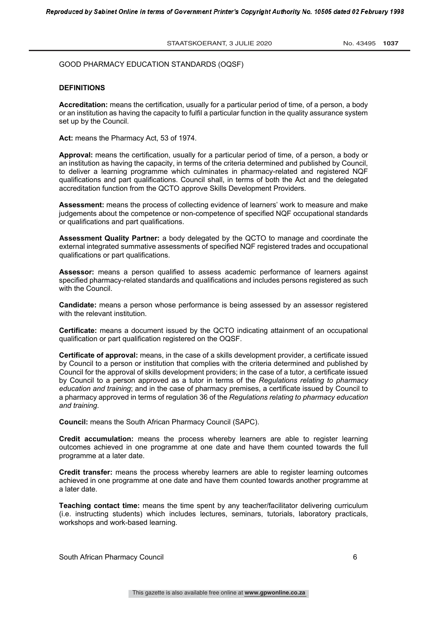# **DEFINITIONS**

**Accreditation:** means the certification, usually for a particular period of time, of a person, a body or an institution as having the capacity to fulfil a particular function in the quality assurance system set up by the Council.

**Act:** means the Pharmacy Act, 53 of 1974.

**Approval:** means the certification, usually for a particular period of time, of a person, a body or an institution as having the capacity, in terms of the criteria determined and published by Council, to deliver a learning programme which culminates in pharmacy-related and registered NQF qualifications and part qualifications. Council shall, in terms of both the Act and the delegated accreditation function from the QCTO approve Skills Development Providers.

**Assessment:** means the process of collecting evidence of learners' work to measure and make judgements about the competence or non-competence of specified NQF occupational standards or qualifications and part qualifications.

**Assessment Quality Partner:** a body delegated by the QCTO to manage and coordinate the external integrated summative assessments of specified NQF registered trades and occupational qualifications or part qualifications.

**Assessor:** means a person qualified to assess academic performance of learners against specified pharmacy-related standards and qualifications and includes persons registered as such with the Council.

**Candidate:** means a person whose performance is being assessed by an assessor registered with the relevant institution.

**Certificate:** means a document issued by the QCTO indicating attainment of an occupational qualification or part qualification registered on the OQSF.

**Certificate of approval:** means, in the case of a skills development provider, a certificate issued by Council to a person or institution that complies with the criteria determined and published by Council for the approval of skills development providers; in the case of a tutor, a certificate issued by Council to a person approved as a tutor in terms of the *Regulations relating to pharmacy education and training*; and in the case of pharmacy premises, a certificate issued by Council to a pharmacy approved in terms of regulation 36 of the *Regulations relating to pharmacy education and training*.

**Council:** means the South African Pharmacy Council (SAPC).

**Credit accumulation:** means the process whereby learners are able to register learning outcomes achieved in one programme at one date and have them counted towards the full programme at a later date.

**Credit transfer:** means the process whereby learners are able to register learning outcomes achieved in one programme at one date and have them counted towards another programme at a later date.

**Teaching contact time:** means the time spent by any teacher/facilitator delivering curriculum (i.e. instructing students) which includes lectures, seminars, tutorials, laboratory practicals, workshops and work-based learning.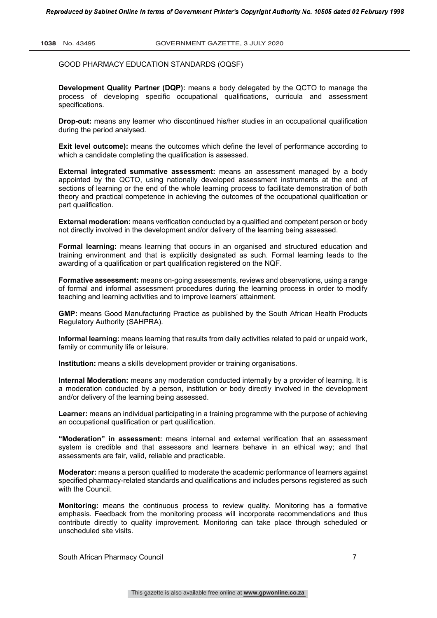**Development Quality Partner (DQP):** means a body delegated by the QCTO to manage the process of developing specific occupational qualifications, curricula and assessment specifications.

**Drop-out:** means any learner who discontinued his/her studies in an occupational qualification during the period analysed.

**Exit level outcome):** means the outcomes which define the level of performance according to which a candidate completing the qualification is assessed.

**External integrated summative assessment:** means an assessment managed by a body appointed by the QCTO, using nationally developed assessment instruments at the end of sections of learning or the end of the whole learning process to facilitate demonstration of both theory and practical competence in achieving the outcomes of the occupational qualification or part qualification.

**External moderation:** means verification conducted by a qualified and competent person or body not directly involved in the development and/or delivery of the learning being assessed.

**Formal learning:** means learning that occurs in an organised and structured education and training environment and that is explicitly designated as such. Formal learning leads to the awarding of a qualification or part qualification registered on the NQF.

**Formative assessment:** means on-going assessments, reviews and observations, using a range of formal and informal assessment procedures during the learning process in order to modify teaching and learning activities and to improve learners' attainment.

**GMP:** means Good Manufacturing Practice as published by the South African Health Products Regulatory Authority (SAHPRA).

**Informal learning:** means learning that results from daily activities related to paid or unpaid work, family or community life or leisure.

**Institution:** means a skills development provider or training organisations.

**Internal Moderation:** means any moderation conducted internally by a provider of learning. It is a moderation conducted by a person, institution or body directly involved in the development and/or delivery of the learning being assessed.

**Learner:** means an individual participating in a training programme with the purpose of achieving an occupational qualification or part qualification.

**"Moderation" in assessment:** means internal and external verification that an assessment system is credible and that assessors and learners behave in an ethical way; and that assessments are fair, valid, reliable and practicable.

**Moderator:** means a person qualified to moderate the academic performance of learners against specified pharmacy-related standards and qualifications and includes persons registered as such with the Council.

**Monitoring:** means the continuous process to review quality. Monitoring has a formative emphasis. Feedback from the monitoring process will incorporate recommendations and thus contribute directly to quality improvement. Monitoring can take place through scheduled or unscheduled site visits.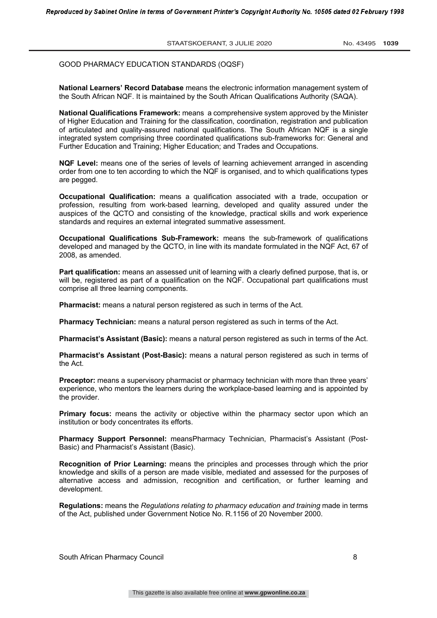**National Learners' Record Database** means the electronic information management system of the South African NQF. It is maintained by the South African Qualifications Authority (SAQA).

**National Qualifications Framework:** means a comprehensive system approved by the Minister of Higher Education and Training for the classification, coordination, registration and publication of articulated and quality-assured national qualifications. The South African NQF is a single integrated system comprising three coordinated qualifications sub-frameworks for: General and Further Education and Training; Higher Education; and Trades and Occupations.

**NQF Level:** means one of the series of levels of learning achievement arranged in ascending order from one to ten according to which the NQF is organised, and to which qualifications types are pegged.

**Occupational Qualification:** means a qualification associated with a trade, occupation or profession, resulting from work-based learning, developed and quality assured under the auspices of the QCTO and consisting of the knowledge, practical skills and work experience standards and requires an external integrated summative assessment.

**Occupational Qualifications Sub-Framework:** means the sub-framework of qualifications developed and managed by the QCTO, in line with its mandate formulated in the NQF Act, 67 of 2008, as amended.

**Part qualification:** means an assessed unit of learning with a clearly defined purpose, that is, or will be, registered as part of a qualification on the NQF. Occupational part qualifications must comprise all three learning components.

**Pharmacist:** means a natural person registered as such in terms of the Act.

**Pharmacy Technician:** means a natural person registered as such in terms of the Act.

**Pharmacist's Assistant (Basic):** means a natural person registered as such in terms of the Act.

**Pharmacist's Assistant (Post-Basic):** means a natural person registered as such in terms of the Act.

**Preceptor:** means a supervisory pharmacist or pharmacy technician with more than three years' experience, who mentors the learners during the workplace-based learning and is appointed by the provider.

**Primary focus:** means the activity or objective within the pharmacy sector upon which an institution or body concentrates its efforts.

**Pharmacy Support Personnel:** meansPharmacy Technician, Pharmacist's Assistant (Post-Basic) and Pharmacist's Assistant (Basic).

**Recognition of Prior Learning:** means the principles and processes through which the prior knowledge and skills of a person are made visible, mediated and assessed for the purposes of alternative access and admission, recognition and certification, or further learning and development.

**Regulations:** means the *Regulations relating to pharmacy education and training* made in terms of the Act, published under Government Notice No. R.1156 of 20 November 2000.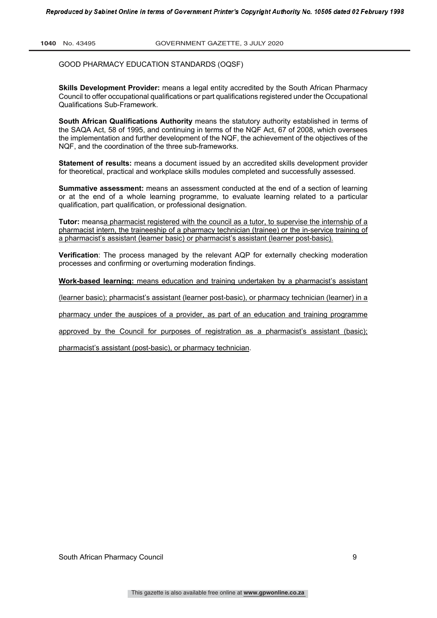**Skills Development Provider:** means a legal entity accredited by the South African Pharmacy Council to offer occupational qualifications or part qualifications registered under the Occupational Qualifications Sub-Framework.

**South African Qualifications Authority** means the statutory authority established in terms of the SAQA Act, 58 of 1995, and continuing in terms of the NQF Act, 67 of 2008, which oversees the implementation and further development of the NQF, the achievement of the objectives of the NQF, and the coordination of the three sub-frameworks.

**Statement of results:** means a document issued by an accredited skills development provider for theoretical, practical and workplace skills modules completed and successfully assessed.

**Summative assessment:** means an assessment conducted at the end of a section of learning or at the end of a whole learning programme, to evaluate learning related to a particular qualification, part qualification, or professional designation.

**Tutor:** meansa pharmacist registered with the council as a tutor, to supervise the internship of a pharmacist intern, the traineeship of a pharmacy technician (trainee) or the in-service training of a pharmacist's assistant (learner basic) or pharmacist's assistant (learner post-basic).

**Verification**: The process managed by the relevant AQP for externally checking moderation processes and confirming or overturning moderation findings.

**Work-based learning:** means education and training undertaken by a pharmacist's assistant

(learner basic); pharmacist's assistant (learner post-basic), or pharmacy technician (learner) in a

pharmacy under the auspices of a provider, as part of an education and training programme

approved by the Council for purposes of registration as a pharmacist's assistant (basic);

pharmacist's assistant (post-basic), or pharmacy technician.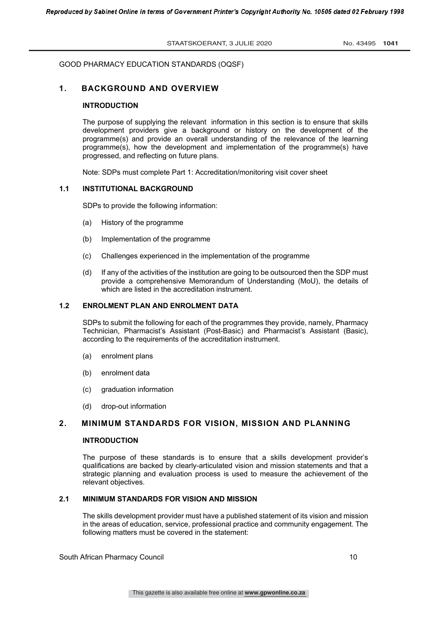# **1. BACKGROUND AND OVERVIEW**

# **INTRODUCTION**

The purpose of supplying the relevant information in this section is to ensure that skills development providers give a background or history on the development of the programme(s) and provide an overall understanding of the relevance of the learning programme(s), how the development and implementation of the programme(s) have progressed, and reflecting on future plans.

Note: SDPs must complete Part 1: Accreditation/monitoring visit cover sheet

# **1.1 INSTITUTIONAL BACKGROUND**

SDPs to provide the following information:

- (a) History of the programme
- (b) Implementation of the programme
- (c) Challenges experienced in the implementation of the programme
- (d) If any of the activities of the institution are going to be outsourced then the SDP must provide a comprehensive Memorandum of Understanding (MoU), the details of which are listed in the accreditation instrument.

# **1.2 ENROLMENT PLAN AND ENROLMENT DATA**

SDPs to submit the following for each of the programmes they provide, namely, Pharmacy Technician, Pharmacist's Assistant (Post-Basic) and Pharmacist's Assistant (Basic), according to the requirements of the accreditation instrument.

- (a) enrolment plans
- (b) enrolment data
- (c) graduation information
- (d) drop-out information

# **2. MINIMUM STANDARDS FOR VISION, MISSION AND PLANNING**

#### **INTRODUCTION**

The purpose of these standards is to ensure that a skills development provider's qualifications are backed by clearly-articulated vision and mission statements and that a strategic planning and evaluation process is used to measure the achievement of the relevant objectives.

# **2.1 MINIMUM STANDARDS FOR VISION AND MISSION**

The skills development provider must have a published statement of its vision and mission in the areas of education, service, professional practice and community engagement. The following matters must be covered in the statement:

South African Pharmacy Council 10 and 10 and 10 and 10 and 10 and 10 and 10 and 10 and 10 and 10 and 10 and 10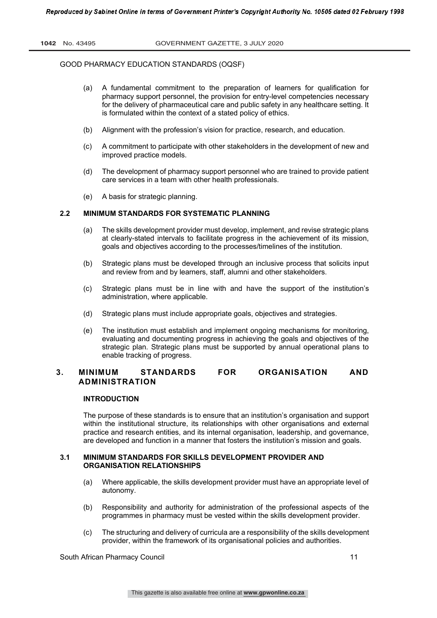- (a) A fundamental commitment to the preparation of learners for qualification for pharmacy support personnel, the provision for entry-level competencies necessary for the delivery of pharmaceutical care and public safety in any healthcare setting. It is formulated within the context of a stated policy of ethics.
- (b) Alignment with the profession's vision for practice, research, and education.
- (c) A commitment to participate with other stakeholders in the development of new and improved practice models.
- (d) The development of pharmacy support personnel who are trained to provide patient care services in a team with other health professionals.
- (e) A basis for strategic planning.

# **2.2 MINIMUM STANDARDS FOR SYSTEMATIC PLANNING**

- (a) The skills development provider must develop, implement, and revise strategic plans at clearly-stated intervals to facilitate progress in the achievement of its mission, goals and objectives according to the processes/timelines of the institution.
- (b) Strategic plans must be developed through an inclusive process that solicits input and review from and by learners, staff, alumni and other stakeholders.
- (c) Strategic plans must be in line with and have the support of the institution's administration, where applicable.
- (d) Strategic plans must include appropriate goals, objectives and strategies.
- (e) The institution must establish and implement ongoing mechanisms for monitoring, evaluating and documenting progress in achieving the goals and objectives of the strategic plan. Strategic plans must be supported by annual operational plans to enable tracking of progress.

# **3. MINIMUM STANDARDS FOR ORGANISATION AND ADMINISTRATION**

# **INTRODUCTION**

The purpose of these standards is to ensure that an institution's organisation and support within the institutional structure, its relationships with other organisations and external practice and research entities, and its internal organisation, leadership, and governance, are developed and function in a manner that fosters the institution's mission and goals.

# **3.1 MINIMUM STANDARDS FOR SKILLS DEVELOPMENT PROVIDER AND ORGANISATION RELATIONSHIPS**

- (a) Where applicable, the skills development provider must have an appropriate level of autonomy.
- (b) Responsibility and authority for administration of the professional aspects of the programmes in pharmacy must be vested within the skills development provider.
- (c) The structuring and delivery of curricula are a responsibility of the skills development provider, within the framework of its organisational policies and authorities.

South African Pharmacy Council 11 and 200 and 200 and 200 and 200 and 200 and 200 and 200 and 200 and 200 and 200 and 200 and 200 and 200 and 200 and 200 and 200 and 200 and 200 and 200 and 200 and 200 and 200 and 200 and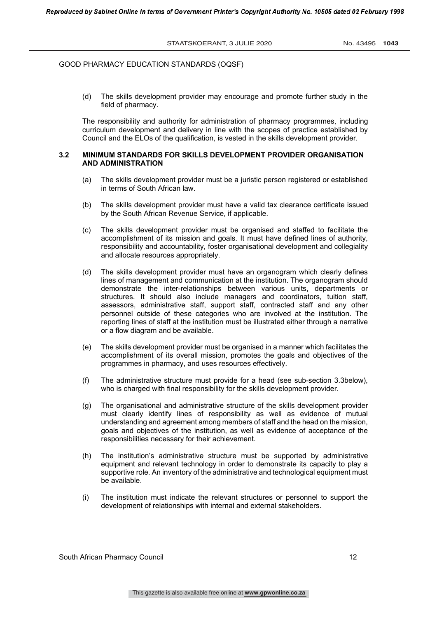(d) The skills development provider may encourage and promote further study in the field of pharmacy.

The responsibility and authority for administration of pharmacy programmes, including curriculum development and delivery in line with the scopes of practice established by Council and the ELOs of the qualification, is vested in the skills development provider.

# **3.2 MINIMUM STANDARDS FOR SKILLS DEVELOPMENT PROVIDER ORGANISATION AND ADMINISTRATION**

- (a) The skills development provider must be a juristic person registered or established in terms of South African law.
- (b) The skills development provider must have a valid tax clearance certificate issued by the South African Revenue Service, if applicable.
- (c) The skills development provider must be organised and staffed to facilitate the accomplishment of its mission and goals. It must have defined lines of authority, responsibility and accountability, foster organisational development and collegiality and allocate resources appropriately.
- (d) The skills development provider must have an organogram which clearly defines lines of management and communication at the institution. The organogram should demonstrate the inter-relationships between various units, departments or structures. It should also include managers and coordinators, tuition staff, assessors, administrative staff, support staff, contracted staff and any other personnel outside of these categories who are involved at the institution. The reporting lines of staff at the institution must be illustrated either through a narrative or a flow diagram and be available.
- (e) The skills development provider must be organised in a manner which facilitates the accomplishment of its overall mission, promotes the goals and objectives of the programmes in pharmacy, and uses resources effectively.
- (f) The administrative structure must provide for a head (see sub-section 3.3below), who is charged with final responsibility for the skills development provider.
- (g) The organisational and administrative structure of the skills development provider must clearly identify lines of responsibility as well as evidence of mutual understanding and agreement among members of staff and the head on the mission, goals and objectives of the institution, as well as evidence of acceptance of the responsibilities necessary for their achievement.
- (h) The institution's administrative structure must be supported by administrative equipment and relevant technology in order to demonstrate its capacity to play a supportive role. An inventory of the administrative and technological equipment must be available.
- (i) The institution must indicate the relevant structures or personnel to support the development of relationships with internal and external stakeholders.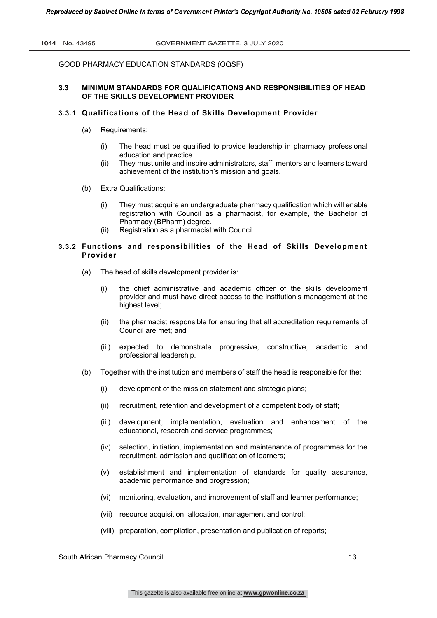# **3.3 MINIMUM STANDARDS FOR QUALIFICATIONS AND RESPONSIBILITIES OF HEAD OF THE SKILLS DEVELOPMENT PROVIDER**

# **3.3.1 Qualifications of the Head of Skills Development Provider**

- (a) Requirements:
	- (i) The head must be qualified to provide leadership in pharmacy professional education and practice.
	- (ii) They must unite and inspire administrators, staff, mentors and learners toward achievement of the institution's mission and goals.
- (b) Extra Qualifications:
	- (i) They must acquire an undergraduate pharmacy qualification which will enable registration with Council as a pharmacist, for example, the Bachelor of Pharmacy (BPharm) degree.
	- (ii) Registration as a pharmacist with Council.

# **3.3.2 Functions and responsibilities of the Head of Skills Development Provider**

- (a) The head of skills development provider is:
	- (i) the chief administrative and academic officer of the skills development provider and must have direct access to the institution's management at the highest level;
	- (ii) the pharmacist responsible for ensuring that all accreditation requirements of Council are met; and
	- (iii) expected to demonstrate progressive, constructive, academic and professional leadership.
- (b) Together with the institution and members of staff the head is responsible for the:
	- (i) development of the mission statement and strategic plans;
	- (ii) recruitment, retention and development of a competent body of staff;
	- (iii) development, implementation, evaluation and enhancement of the educational, research and service programmes;
	- (iv) selection, initiation, implementation and maintenance of programmes for the recruitment, admission and qualification of learners;
	- (v) establishment and implementation of standards for quality assurance, academic performance and progression;
	- (vi) monitoring, evaluation, and improvement of staff and learner performance;
	- (vii) resource acquisition, allocation, management and control;
	- (viii) preparation, compilation, presentation and publication of reports;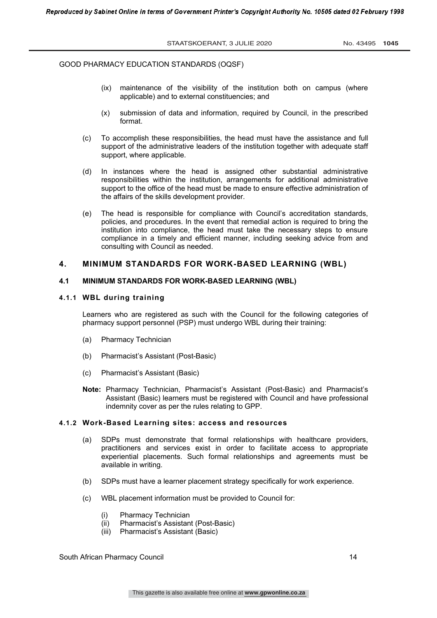- (ix) maintenance of the visibility of the institution both on campus (where applicable) and to external constituencies; and
- (x) submission of data and information, required by Council, in the prescribed format.
- (c) To accomplish these responsibilities, the head must have the assistance and full support of the administrative leaders of the institution together with adequate staff support, where applicable.
- (d) In instances where the head is assigned other substantial administrative responsibilities within the institution, arrangements for additional administrative support to the office of the head must be made to ensure effective administration of the affairs of the skills development provider.
- (e) The head is responsible for compliance with Council's accreditation standards, policies, and procedures. In the event that remedial action is required to bring the institution into compliance, the head must take the necessary steps to ensure compliance in a timely and efficient manner, including seeking advice from and consulting with Council as needed.

# **4. MINIMUM STANDARDS FOR WORK-BASED LEARNING (WBL)**

#### **4.1 MINIMUM STANDARDS FOR WORK-BASED LEARNING (WBL)**

#### **4.1.1 WBL during training**

Learners who are registered as such with the Council for the following categories of pharmacy support personnel (PSP) must undergo WBL during their training:

- (a) Pharmacy Technician
- (b) Pharmacist's Assistant (Post-Basic)
- (c) Pharmacist's Assistant (Basic)
- **Note:** Pharmacy Technician, Pharmacist's Assistant (Post-Basic) and Pharmacist's Assistant (Basic) learners must be registered with Council and have professional indemnity cover as per the rules relating to GPP.

# **4.1.2 Work-Based Learning sites: access and resources**

- (a) SDPs must demonstrate that formal relationships with healthcare providers, practitioners and services exist in order to facilitate access to appropriate experiential placements. Such formal relationships and agreements must be available in writing.
- (b) SDPs must have a learner placement strategy specifically for work experience.
- (c) WBL placement information must be provided to Council for:
	- (i) Pharmacy Technician
	- (ii) Pharmacist's Assistant (Post-Basic)
	- (iii) Pharmacist's Assistant (Basic)

South African Pharmacy Council 14 November 2012 14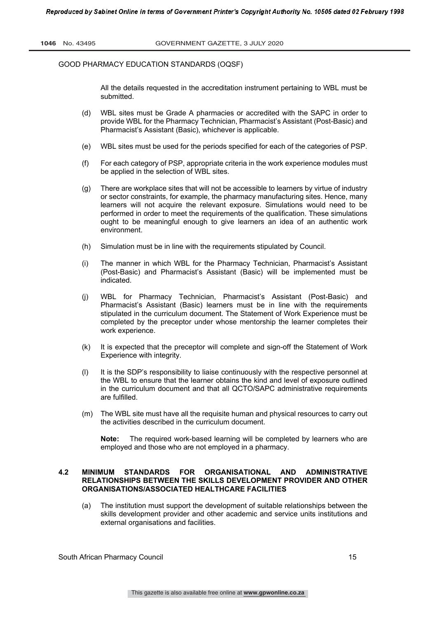All the details requested in the accreditation instrument pertaining to WBL must be submitted.

- (d) WBL sites must be Grade A pharmacies or accredited with the SAPC in order to provide WBL for the Pharmacy Technician, Pharmacist's Assistant (Post-Basic) and Pharmacist's Assistant (Basic), whichever is applicable.
- (e) WBL sites must be used for the periods specified for each of the categories of PSP.
- (f) For each category of PSP, appropriate criteria in the work experience modules must be applied in the selection of WBL sites.
- (g) There are workplace sites that will not be accessible to learners by virtue of industry or sector constraints, for example, the pharmacy manufacturing sites. Hence, many learners will not acquire the relevant exposure. Simulations would need to be performed in order to meet the requirements of the qualification. These simulations ought to be meaningful enough to give learners an idea of an authentic work environment.
- (h) Simulation must be in line with the requirements stipulated by Council.
- (i) The manner in which WBL for the Pharmacy Technician, Pharmacist's Assistant (Post-Basic) and Pharmacist's Assistant (Basic) will be implemented must be indicated.
- (j) WBL for Pharmacy Technician, Pharmacist's Assistant (Post-Basic) and Pharmacist's Assistant (Basic) learners must be in line with the requirements stipulated in the curriculum document. The Statement of Work Experience must be completed by the preceptor under whose mentorship the learner completes their work experience.
- (k) It is expected that the preceptor will complete and sign-off the Statement of Work Experience with integrity.
- (l) It is the SDP's responsibility to liaise continuously with the respective personnel at the WBL to ensure that the learner obtains the kind and level of exposure outlined in the curriculum document and that all QCTO/SAPC administrative requirements are fulfilled.
- (m) The WBL site must have all the requisite human and physical resources to carry out the activities described in the curriculum document.

**Note:** The required work-based learning will be completed by learners who are employed and those who are not employed in a pharmacy.

# **4.2 MINIMUM STANDARDS FOR ORGANISATIONAL AND ADMINISTRATIVE RELATIONSHIPS BETWEEN THE SKILLS DEVELOPMENT PROVIDER AND OTHER ORGANISATIONS/ASSOCIATED HEALTHCARE FACILITIES**

(a) The institution must support the development of suitable relationships between the skills development provider and other academic and service units institutions and external organisations and facilities.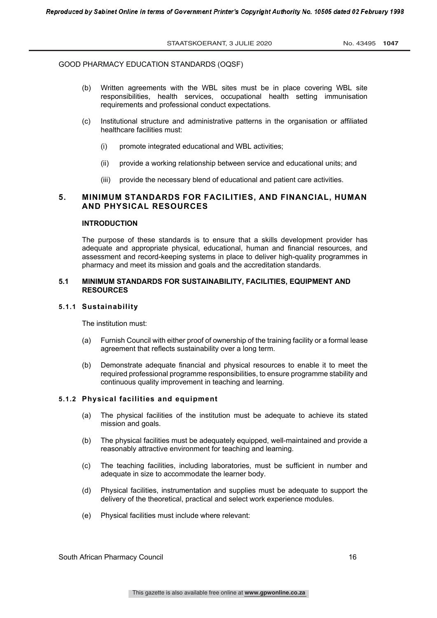- (b) Written agreements with the WBL sites must be in place covering WBL site responsibilities, health services, occupational health setting immunisation requirements and professional conduct expectations.
- (c) Institutional structure and administrative patterns in the organisation or affiliated healthcare facilities must:
	- (i) promote integrated educational and WBL activities;
	- (ii) provide a working relationship between service and educational units; and
	- (iii) provide the necessary blend of educational and patient care activities.

# **5. MINIMUM STANDARDS FOR FACILITIES, AND FINANCIAL, HUMAN AND PHYSICAL RESOURCES**

# **INTRODUCTION**

The purpose of these standards is to ensure that a skills development provider has adequate and appropriate physical, educational, human and financial resources, and assessment and record-keeping systems in place to deliver high-quality programmes in pharmacy and meet its mission and goals and the accreditation standards.

# **5.1 MINIMUM STANDARDS FOR SUSTAINABILITY, FACILITIES, EQUIPMENT AND RESOURCES**

#### **5.1.1 Sustainability**

The institution must:

- (a) Furnish Council with either proof of ownership of the training facility or a formal lease agreement that reflects sustainability over a long term.
- (b) Demonstrate adequate financial and physical resources to enable it to meet the required professional programme responsibilities, to ensure programme stability and continuous quality improvement in teaching and learning.

# **5.1.2 Physical facilities and equipment**

- (a) The physical facilities of the institution must be adequate to achieve its stated mission and goals.
- (b) The physical facilities must be adequately equipped, well-maintained and provide a reasonably attractive environment for teaching and learning.
- (c) The teaching facilities, including laboratories, must be sufficient in number and adequate in size to accommodate the learner body.
- (d) Physical facilities, instrumentation and supplies must be adequate to support the delivery of the theoretical, practical and select work experience modules.
- (e) Physical facilities must include where relevant:

South African Pharmacy Council 16 and 16 and 16 and 16 and 16 and 16 and 16 and 16 and 16 and 16 and 16 and 16 and 16 and 16 and 16 and 16 and 16 and 16 and 16 and 16 and 16 and 16 and 16 and 16 and 16 and 16 and 16 and 16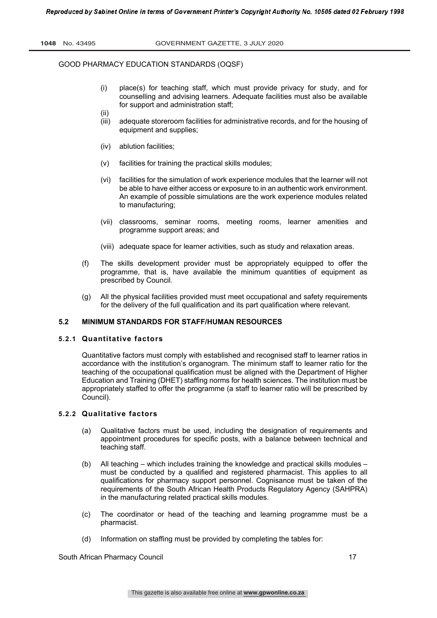- (i) place(s) for teaching staff, which must provide privacy for study, and for counselling and advising learners. Adequate facilities must also be available for support and administration staff;
- (ii) (iii) adequate storeroom facilities for administrative records, and for the housing of equipment and supplies;
- (iv) ablution facilities;
- (v) facilities for training the practical skills modules;
- (vi) facilities for the simulation of work experience modules that the learner will not be able to have either access or exposure to in an authentic work environment. An example of possible simulations are the work experience modules related to manufacturing;
- (vii) classrooms, seminar rooms, meeting rooms, learner amenities and programme support areas; and
- (viii) adequate space for learner activities, such as study and relaxation areas.
- (f) The skills development provider must be appropriately equipped to offer the programme, that is, have available the minimum quantities of equipment as prescribed by Council.
- (g) All the physical facilities provided must meet occupational and safety requirements for the delivery of the full qualification and its part qualification where relevant.

# **5.2 MINIMUM STANDARDS FOR STAFF/HUMAN RESOURCES**

#### **5.2.1 Quantitative factors**

Quantitative factors must comply with established and recognised staff to learner ratios in accordance with the institution's organogram. The minimum staff to learner ratio for the teaching of the occupational qualification must be aligned with the Department of Higher Education and Training (DHET) staffing norms for health sciences. The institution must be appropriately staffed to offer the programme (a staff to learner ratio will be prescribed by Council).

# **5.2.2 Qualitative factors**

- (a) Qualitative factors must be used, including the designation of requirements and appointment procedures for specific posts, with a balance between technical and teaching staff.
- (b) All teaching which includes training the knowledge and practical skills modules must be conducted by a qualified and registered pharmacist. This applies to all qualifications for pharmacy support personnel. Cognisance must be taken of the requirements of the South African Health Products Regulatory Agency (SAHPRA) in the manufacturing related practical skills modules.
- (c) The coordinator or head of the teaching and learning programme must be a pharmacist.
- (d) Information on staffing must be provided by completing the tables for:

South African Pharmacy Council 17 (17) 17 and 200 and 200 and 200 and 200 and 200 and 200 and 200 and 200 and 200 and 200 and 200 and 200 and 200 and 200 and 200 and 200 and 200 and 200 and 200 and 200 and 200 and 200 and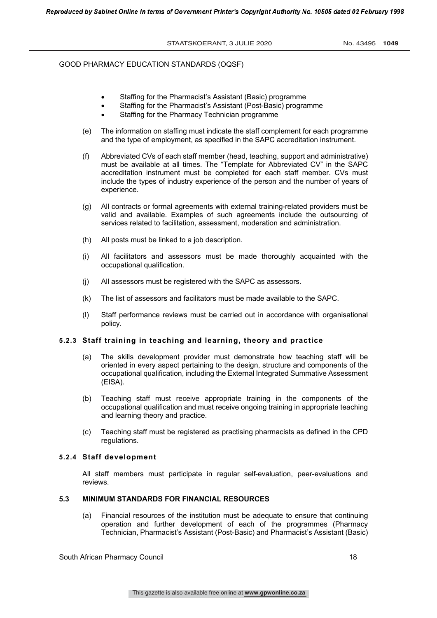- Staffing for the Pharmacist's Assistant (Basic) programme
- Staffing for the Pharmacist's Assistant (Post-Basic) programme
- Staffing for the Pharmacy Technician programme
- (e) The information on staffing must indicate the staff complement for each programme and the type of employment, as specified in the SAPC accreditation instrument.
- (f) Abbreviated CVs of each staff member (head, teaching, support and administrative) must be available at all times. The "Template for Abbreviated CV" in the SAPC accreditation instrument must be completed for each staff member. CVs must include the types of industry experience of the person and the number of years of experience.
- (g) All contracts or formal agreements with external training-related providers must be valid and available. Examples of such agreements include the outsourcing of services related to facilitation, assessment, moderation and administration.
- (h) All posts must be linked to a job description.
- (i) All facilitators and assessors must be made thoroughly acquainted with the occupational qualification.
- (j) All assessors must be registered with the SAPC as assessors.
- (k) The list of assessors and facilitators must be made available to the SAPC.
- (l) Staff performance reviews must be carried out in accordance with organisational policy.

# **5.2.3 Staff training in teaching and learning, theory and practice**

- (a) The skills development provider must demonstrate how teaching staff will be oriented in every aspect pertaining to the design, structure and components of the occupational qualification, including the External Integrated Summative Assessment (EISA).
- (b) Teaching staff must receive appropriate training in the components of the occupational qualification and must receive ongoing training in appropriate teaching and learning theory and practice.
- (c) Teaching staff must be registered as practising pharmacists as defined in the CPD regulations.

#### **5.2.4 Staff development**

All staff members must participate in regular self-evaluation, peer-evaluations and reviews.

#### **5.3 MINIMUM STANDARDS FOR FINANCIAL RESOURCES**

(a) Financial resources of the institution must be adequate to ensure that continuing operation and further development of each of the programmes (Pharmacy Technician, Pharmacist's Assistant (Post-Basic) and Pharmacist's Assistant (Basic)

South African Pharmacy Council 18 and 18 and 18 and 18 and 18 and 18 and 18 and 18 and 18 and 18 and 18 and 18  $\,$  18 and 18 and 18 and 18 and 18 and 18 and 18 and 18 and 18 and 18 and 18 and 18 and 18 and 18 and 18 and 1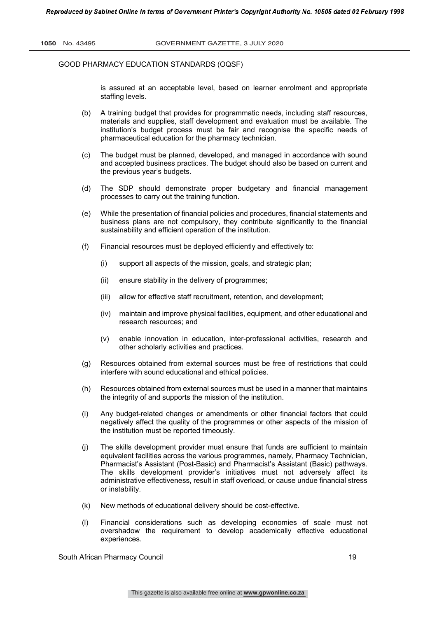is assured at an acceptable level, based on learner enrolment and appropriate staffing levels.

- (b) A training budget that provides for programmatic needs, including staff resources, materials and supplies, staff development and evaluation must be available. The institution's budget process must be fair and recognise the specific needs of pharmaceutical education for the pharmacy technician.
- (c) The budget must be planned, developed, and managed in accordance with sound and accepted business practices. The budget should also be based on current and the previous year's budgets.
- (d) The SDP should demonstrate proper budgetary and financial management processes to carry out the training function.
- (e) While the presentation of financial policies and procedures, financial statements and business plans are not compulsory, they contribute significantly to the financial sustainability and efficient operation of the institution.
- (f) Financial resources must be deployed efficiently and effectively to:
	- (i) support all aspects of the mission, goals, and strategic plan;
	- (ii) ensure stability in the delivery of programmes;
	- (iii) allow for effective staff recruitment, retention, and development;
	- (iv) maintain and improve physical facilities, equipment, and other educational and research resources; and
	- (v) enable innovation in education, inter-professional activities, research and other scholarly activities and practices.
- (g) Resources obtained from external sources must be free of restrictions that could interfere with sound educational and ethical policies.
- (h) Resources obtained from external sources must be used in a manner that maintains the integrity of and supports the mission of the institution.
- (i) Any budget-related changes or amendments or other financial factors that could negatively affect the quality of the programmes or other aspects of the mission of the institution must be reported timeously.
- (j) The skills development provider must ensure that funds are sufficient to maintain equivalent facilities across the various programmes, namely, Pharmacy Technician, Pharmacist's Assistant (Post-Basic) and Pharmacist's Assistant (Basic) pathways. The skills development provider's initiatives must not adversely affect its administrative effectiveness, result in staff overload, or cause undue financial stress or instability.
- (k) New methods of educational delivery should be cost-effective.
- (l) Financial considerations such as developing economies of scale must not overshadow the requirement to develop academically effective educational experiences.

South African Pharmacy Council 19 November 2012 19 November 2013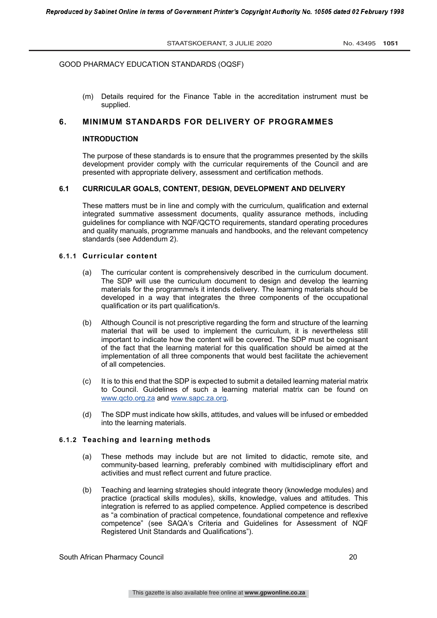(m) Details required for the Finance Table in the accreditation instrument must be supplied.

# **6. MINIMUM STANDARDS FOR DELIVERY OF PROGRAMMES**

#### **INTRODUCTION**

The purpose of these standards is to ensure that the programmes presented by the skills development provider comply with the curricular requirements of the Council and are presented with appropriate delivery, assessment and certification methods.

# **6.1 CURRICULAR GOALS, CONTENT, DESIGN, DEVELOPMENT AND DELIVERY**

These matters must be in line and comply with the curriculum, qualification and external integrated summative assessment documents, quality assurance methods, including guidelines for compliance with NQF/QCTO requirements, standard operating procedures and quality manuals, programme manuals and handbooks, and the relevant competency standards (see Addendum 2).

# **6.1.1 Curricular content**

- (a) The curricular content is comprehensively described in the curriculum document. The SDP will use the curriculum document to design and develop the learning materials for the programme/s it intends delivery. The learning materials should be developed in a way that integrates the three components of the occupational qualification or its part qualification/s.
- (b) Although Council is not prescriptive regarding the form and structure of the learning material that will be used to implement the curriculum, it is nevertheless still important to indicate how the content will be covered. The SDP must be cognisant of the fact that the learning material for this qualification should be aimed at the implementation of all three components that would best facilitate the achievement of all competencies.
- (c) It is to this end that the SDP is expected to submit a detailed learning material matrix to Council. Guidelines of such a learning material matrix can be found on www.qcto.org.za and www.sapc.za.org.
- (d) The SDP must indicate how skills, attitudes, and values will be infused or embedded into the learning materials.

# **6.1.2 Teaching and learning methods**

- (a) These methods may include but are not limited to didactic, remote site, and community-based learning, preferably combined with multidisciplinary effort and activities and must reflect current and future practice.
- (b) Teaching and learning strategies should integrate theory (knowledge modules) and practice (practical skills modules), skills, knowledge, values and attitudes. This integration is referred to as applied competence. Applied competence is described as "a combination of practical competence, foundational competence and reflexive competence" (see SAQA's Criteria and Guidelines for Assessment of NQF Registered Unit Standards and Qualifications").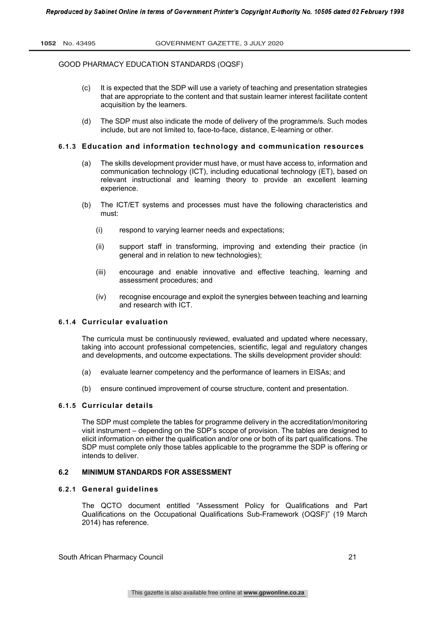- (c) It is expected that the SDP will use a variety of teaching and presentation strategies that are appropriate to the content and that sustain learner interest facilitate content acquisition by the learners.
- (d) The SDP must also indicate the mode of delivery of the programme/s. Such modes include, but are not limited to, face-to-face, distance, E-learning or other.

# **6.1.3 Education and information technology and communication resources**

- (a) The skills development provider must have, or must have access to, information and communication technology (ICT), including educational technology (ET), based on relevant instructional and learning theory to provide an excellent learning experience.
- (b) The ICT/ET systems and processes must have the following characteristics and must:
	- (i) respond to varying learner needs and expectations;
	- (ii) support staff in transforming, improving and extending their practice (in general and in relation to new technologies);
	- (iii) encourage and enable innovative and effective teaching, learning and assessment procedures; and
	- (iv) recognise encourage and exploit the synergies between teaching and learning and research with ICT.

# **6.1.4 Curricular evaluation**

The curricula must be continuously reviewed, evaluated and updated where necessary, taking into account professional competencies, scientific, legal and regulatory changes and developments, and outcome expectations. The skills development provider should:

- (a) evaluate learner competency and the performance of learners in EISAs; and
- (b) ensure continued improvement of course structure, content and presentation.

#### **6.1.5 Curricular details**

The SDP must complete the tables for programme delivery in the accreditation/monitoring visit instrument – depending on the SDP's scope of provision. The tables are designed to elicit information on either the qualification and/or one or both of its part qualifications. The SDP must complete only those tables applicable to the programme the SDP is offering or intends to deliver.

#### **6.2 MINIMUM STANDARDS FOR ASSESSMENT**

#### **6.2.1 General guidelines**

The QCTO document entitled "Assessment Policy for Qualifications and Part Qualifications on the Occupational Qualifications Sub-Framework (OQSF)" (19 March 2014) has reference.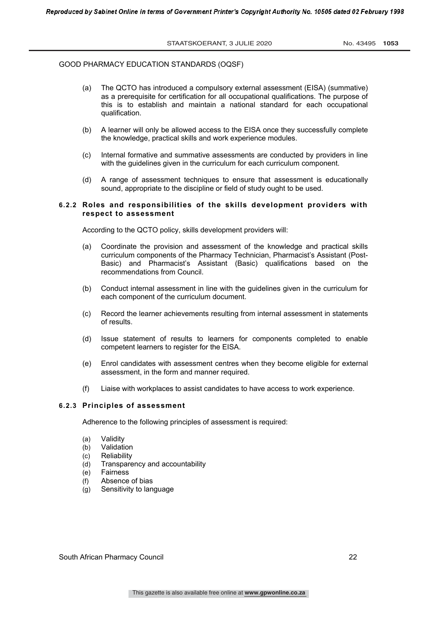- (a) The QCTO has introduced a compulsory external assessment (EISA) (summative) as a prerequisite for certification for all occupational qualifications. The purpose of this is to establish and maintain a national standard for each occupational qualification.
- (b) A learner will only be allowed access to the EISA once they successfully complete the knowledge, practical skills and work experience modules.
- (c) Internal formative and summative assessments are conducted by providers in line with the guidelines given in the curriculum for each curriculum component.
- (d) A range of assessment techniques to ensure that assessment is educationally sound, appropriate to the discipline or field of study ought to be used.

# **6.2.2 Roles and responsibilities of the skills development providers with respect to assessment**

According to the QCTO policy, skills development providers will:

- (a) Coordinate the provision and assessment of the knowledge and practical skills curriculum components of the Pharmacy Technician, Pharmacist's Assistant (Post-Basic) and Pharmacist's Assistant (Basic) qualifications based on the recommendations from Council.
- (b) Conduct internal assessment in line with the guidelines given in the curriculum for each component of the curriculum document.
- (c) Record the learner achievements resulting from internal assessment in statements of results.
- (d) Issue statement of results to learners for components completed to enable competent learners to register for the EISA.
- (e) Enrol candidates with assessment centres when they become eligible for external assessment, in the form and manner required.
- (f) Liaise with workplaces to assist candidates to have access to work experience.

# **6.2.3 Principles of assessment**

Adherence to the following principles of assessment is required:

- (a) Validity
- (b) Validation
- (c) Reliability
- (d) Transparency and accountability
- (e) Fairness
- (f) Absence of bias
- (g) Sensitivity to language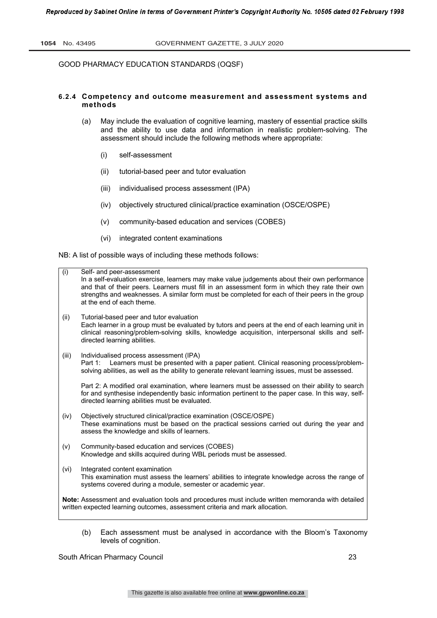# **6.2.4 Competency and outcome measurement and assessment systems and methods**

- (a) May include the evaluation of cognitive learning, mastery of essential practice skills and the ability to use data and information in realistic problem-solving. The assessment should include the following methods where appropriate:
	- (i) self-assessment
	- (ii) tutorial-based peer and tutor evaluation
	- (iii) individualised process assessment (IPA)
	- (iv) objectively structured clinical/practice examination (OSCE/OSPE)
	- (v) community-based education and services (COBES)
	- (vi) integrated content examinations

NB: A list of possible ways of including these methods follows:

| (i)                                                                                                                                                                               | Self- and peer-assessment<br>In a self-evaluation exercise, learners may make value judgements about their own performance<br>and that of their peers. Learners must fill in an assessment form in which they rate their own<br>strengths and weaknesses. A similar form must be completed for each of their peers in the group<br>at the end of each theme. |  |
|-----------------------------------------------------------------------------------------------------------------------------------------------------------------------------------|--------------------------------------------------------------------------------------------------------------------------------------------------------------------------------------------------------------------------------------------------------------------------------------------------------------------------------------------------------------|--|
| (ii)                                                                                                                                                                              | Tutorial-based peer and tutor evaluation<br>Each learner in a group must be evaluated by tutors and peers at the end of each learning unit in<br>clinical reasoning/problem-solving skills, knowledge acquisition, interpersonal skills and self-<br>directed learning abilities.                                                                            |  |
| (iii)                                                                                                                                                                             | Individualised process assessment (IPA)<br>Learners must be presented with a paper patient. Clinical reasoning process/problem-<br>Part 1:<br>solving abilities, as well as the ability to generate relevant learning issues, must be assessed.                                                                                                              |  |
|                                                                                                                                                                                   | Part 2: A modified oral examination, where learners must be assessed on their ability to search<br>for and synthesise independently basic information pertinent to the paper case. In this way, self-<br>directed learning abilities must be evaluated.                                                                                                      |  |
| (iv)                                                                                                                                                                              | Objectively structured clinical/practice examination (OSCE/OSPE)<br>These examinations must be based on the practical sessions carried out during the year and<br>assess the knowledge and skills of learners.                                                                                                                                               |  |
| (v)                                                                                                                                                                               | Community-based education and services (COBES)<br>Knowledge and skills acquired during WBL periods must be assessed.                                                                                                                                                                                                                                         |  |
| (vi)                                                                                                                                                                              | Integrated content examination<br>This examination must assess the learners' abilities to integrate knowledge across the range of<br>systems covered during a module, semester or academic year.                                                                                                                                                             |  |
| Note: Assessment and evaluation tools and procedures must include written memoranda with detailed<br>written expected learning outcomes, assessment criteria and mark allocation. |                                                                                                                                                                                                                                                                                                                                                              |  |
|                                                                                                                                                                                   |                                                                                                                                                                                                                                                                                                                                                              |  |

(b) Each assessment must be analysed in accordance with the Bloom's Taxonomy levels of cognition.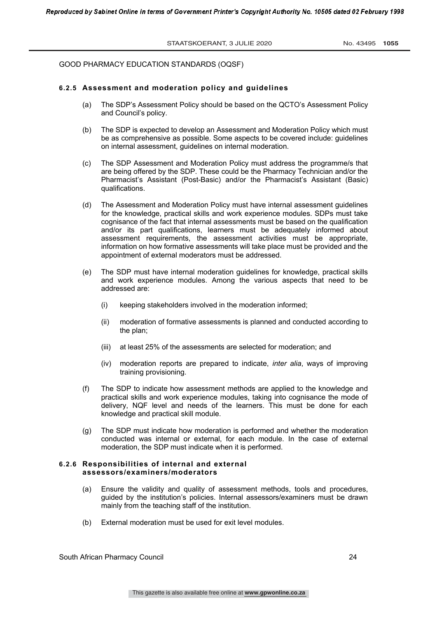# **6.2.5 Assessment and moderation policy and guidelines**

- (a) The SDP's Assessment Policy should be based on the QCTO's Assessment Policy and Council's policy.
- (b) The SDP is expected to develop an Assessment and Moderation Policy which must be as comprehensive as possible. Some aspects to be covered include: guidelines on internal assessment, guidelines on internal moderation.
- (c) The SDP Assessment and Moderation Policy must address the programme/s that are being offered by the SDP. These could be the Pharmacy Technician and/or the Pharmacist's Assistant (Post-Basic) and/or the Pharmacist's Assistant (Basic) qualifications.
- (d) The Assessment and Moderation Policy must have internal assessment guidelines for the knowledge, practical skills and work experience modules. SDPs must take cognisance of the fact that internal assessments must be based on the qualification and/or its part qualifications, learners must be adequately informed about assessment requirements, the assessment activities must be appropriate, information on how formative assessments will take place must be provided and the appointment of external moderators must be addressed.
- (e) The SDP must have internal moderation guidelines for knowledge, practical skills and work experience modules. Among the various aspects that need to be addressed are:
	- (i) keeping stakeholders involved in the moderation informed;
	- (ii) moderation of formative assessments is planned and conducted according to the plan;
	- (iii) at least 25% of the assessments are selected for moderation; and
	- (iv) moderation reports are prepared to indicate, *inter alia*, ways of improving training provisioning.
- (f) The SDP to indicate how assessment methods are applied to the knowledge and practical skills and work experience modules, taking into cognisance the mode of delivery, NQF level and needs of the learners. This must be done for each knowledge and practical skill module.
- (g) The SDP must indicate how moderation is performed and whether the moderation conducted was internal or external, for each module. In the case of external moderation, the SDP must indicate when it is performed.

#### **6.2.6 Responsibilities of internal and external assessors/examiners/moderators**

- (a) Ensure the validity and quality of assessment methods, tools and procedures, guided by the institution's policies. Internal assessors/examiners must be drawn mainly from the teaching staff of the institution.
- (b) External moderation must be used for exit level modules.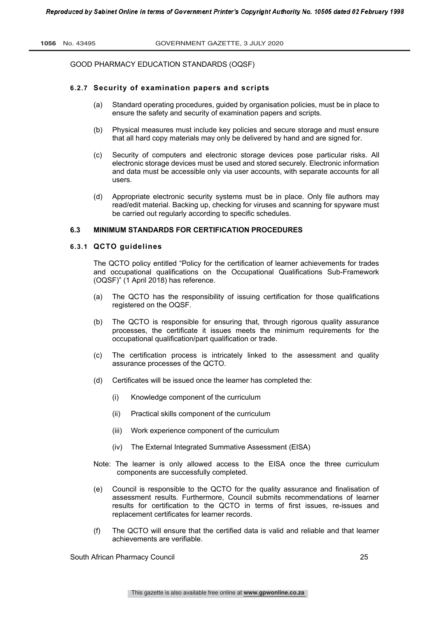# **6.2.7 Security of examination papers and scripts**

- (a) Standard operating procedures, guided by organisation policies, must be in place to ensure the safety and security of examination papers and scripts.
- (b) Physical measures must include key policies and secure storage and must ensure that all hard copy materials may only be delivered by hand and are signed for.
- (c) Security of computers and electronic storage devices pose particular risks. All electronic storage devices must be used and stored securely. Electronic information and data must be accessible only via user accounts, with separate accounts for all users.
- (d) Appropriate electronic security systems must be in place. Only file authors may read/edit material. Backing up, checking for viruses and scanning for spyware must be carried out regularly according to specific schedules.

# **6.3 MINIMUM STANDARDS FOR CERTIFICATION PROCEDURES**

#### **6.3.1 QCTO guidelines**

The QCTO policy entitled "Policy for the certification of learner achievements for trades and occupational qualifications on the Occupational Qualifications Sub-Framework (OQSF)" (1 April 2018) has reference.

- (a) The QCTO has the responsibility of issuing certification for those qualifications registered on the OQSF.
- (b) The QCTO is responsible for ensuring that, through rigorous quality assurance processes, the certificate it issues meets the minimum requirements for the occupational qualification/part qualification or trade.
- (c) The certification process is intricately linked to the assessment and quality assurance processes of the QCTO.
- (d) Certificates will be issued once the learner has completed the:
	- (i) Knowledge component of the curriculum
	- (ii) Practical skills component of the curriculum
	- (iii) Work experience component of the curriculum
	- (iv) The External Integrated Summative Assessment (EISA)
- Note: The learner is only allowed access to the EISA once the three curriculum components are successfully completed.
- (e) Council is responsible to the QCTO for the quality assurance and finalisation of assessment results. Furthermore, Council submits recommendations of learner results for certification to the QCTO in terms of first issues, re-issues and replacement certificates for learner records.
- (f) The QCTO will ensure that the certified data is valid and reliable and that learner achievements are verifiable.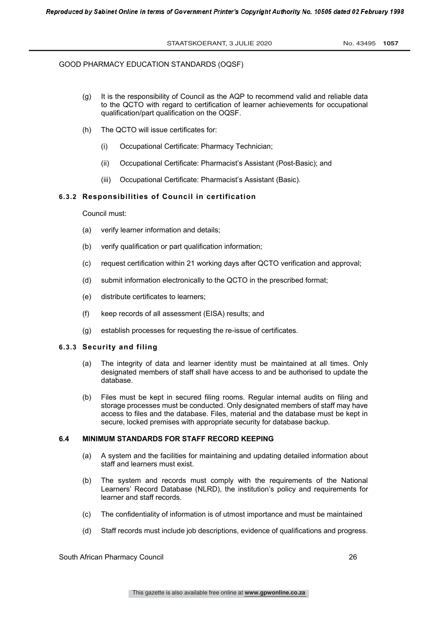- (g) It is the responsibility of Council as the AQP to recommend valid and reliable data to the QCTO with regard to certification of learner achievements for occupational qualification/part qualification on the OQSF.
- (h) The QCTO will issue certificates for:
	- (i) Occupational Certificate: Pharmacy Technician;
	- (ii) Occupational Certificate: Pharmacist's Assistant (Post-Basic); and
	- (iii) Occupational Certificate: Pharmacist's Assistant (Basic).

# **6.3.2 Responsibilities of Council in certification**

Council must:

- (a) verify learner information and details;
- (b) verify qualification or part qualification information;
- (c) request certification within 21 working days after QCTO verification and approval;
- (d) submit information electronically to the QCTO in the prescribed format;
- (e) distribute certificates to learners;
- (f) keep records of all assessment (EISA) results; and
- (g) establish processes for requesting the re-issue of certificates.

# **6.3.3 Security and filing**

- (a) The integrity of data and learner identity must be maintained at all times. Only designated members of staff shall have access to and be authorised to update the database.
- (b) Files must be kept in secured filing rooms. Regular internal audits on filing and storage processes must be conducted. Only designated members of staff may have access to files and the database. Files, material and the database must be kept in secure, locked premises with appropriate security for database backup.

# **6.4 MINIMUM STANDARDS FOR STAFF RECORD KEEPING**

- (a) A system and the facilities for maintaining and updating detailed information about staff and learners must exist.
- (b) The system and records must comply with the requirements of the National Learners' Record Database (NLRD), the institution's policy and requirements for learner and staff records.
- (c) The confidentiality of information is of utmost importance and must be maintained
- (d) Staff records must include job descriptions, evidence of qualifications and progress.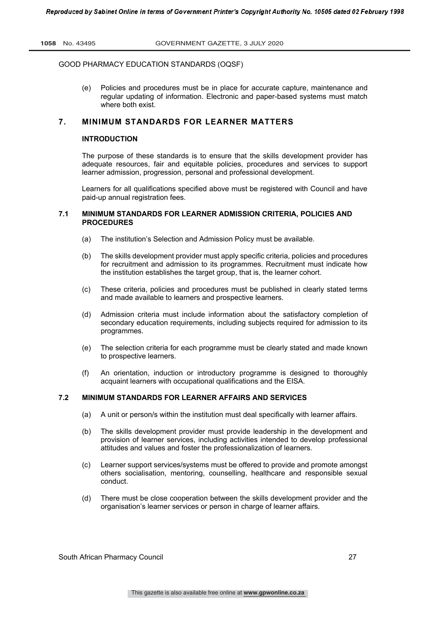(e) Policies and procedures must be in place for accurate capture, maintenance and regular updating of information. Electronic and paper-based systems must match where both exist.

# **7. MINIMUM STANDARDS FOR LEARNER MATTERS**

# **INTRODUCTION**

The purpose of these standards is to ensure that the skills development provider has adequate resources, fair and equitable policies, procedures and services to support learner admission, progression, personal and professional development.

Learners for all qualifications specified above must be registered with Council and have paid-up annual registration fees.

# **7.1 MINIMUM STANDARDS FOR LEARNER ADMISSION CRITERIA, POLICIES AND PROCEDURES**

- (a) The institution's Selection and Admission Policy must be available.
- (b) The skills development provider must apply specific criteria, policies and procedures for recruitment and admission to its programmes. Recruitment must indicate how the institution establishes the target group, that is, the learner cohort.
- (c) These criteria, policies and procedures must be published in clearly stated terms and made available to learners and prospective learners.
- (d) Admission criteria must include information about the satisfactory completion of secondary education requirements, including subjects required for admission to its programmes.
- (e) The selection criteria for each programme must be clearly stated and made known to prospective learners.
- (f) An orientation, induction or introductory programme is designed to thoroughly acquaint learners with occupational qualifications and the EISA.

# **7.2 MINIMUM STANDARDS FOR LEARNER AFFAIRS AND SERVICES**

- (a) A unit or person/s within the institution must deal specifically with learner affairs.
- (b) The skills development provider must provide leadership in the development and provision of learner services, including activities intended to develop professional attitudes and values and foster the professionalization of learners.
- (c) Learner support services/systems must be offered to provide and promote amongst others socialisation, mentoring, counselling, healthcare and responsible sexual conduct.
- (d) There must be close cooperation between the skills development provider and the organisation's learner services or person in charge of learner affairs.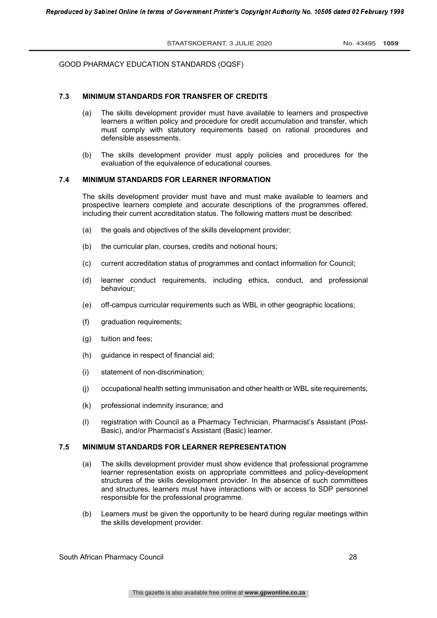# **7.3 MINIMUM STANDARDS FOR TRANSFER OF CREDITS**

- (a) The skills development provider must have available to learners and prospective learners a written policy and procedure for credit accumulation and transfer, which must comply with statutory requirements based on rational procedures and defensible assessments.
- (b) The skills development provider must apply policies and procedures for the evaluation of the equivalence of educational courses.

# **7.4 MINIMUM STANDARDS FOR LEARNER INFORMATION**

The skills development provider must have and must make available to learners and prospective learners complete and accurate descriptions of the programmes offered, including their current accreditation status. The following matters must be described:

- (a) the goals and objectives of the skills development provider;
- (b) the curricular plan, courses, credits and notional hours;
- (c) current accreditation status of programmes and contact information for Council;
- (d) learner conduct requirements, including ethics, conduct, and professional behaviour;
- (e) off-campus curricular requirements such as WBL in other geographic locations;
- (f) graduation requirements;
- (g) tuition and fees;
- (h) guidance in respect of financial aid;
- (i) statement of non-discrimination;
- (j) occupational health setting immunisation and other health or WBL site requirements;
- (k) professional indemnity insurance; and
- (l) registration with Council as a Pharmacy Technician, Pharmacist's Assistant (Post-Basic), and/or Pharmacist's Assistant (Basic) learner.

# **7.5 MINIMUM STANDARDS FOR LEARNER REPRESENTATION**

- (a) The skills development provider must show evidence that professional programme learner representation exists on appropriate committees and policy-development structures of the skills development provider. In the absence of such committees and structures, learners must have interactions with or access to SDP personnel responsible for the professional programme.
- (b) Learners must be given the opportunity to be heard during regular meetings within the skills development provider.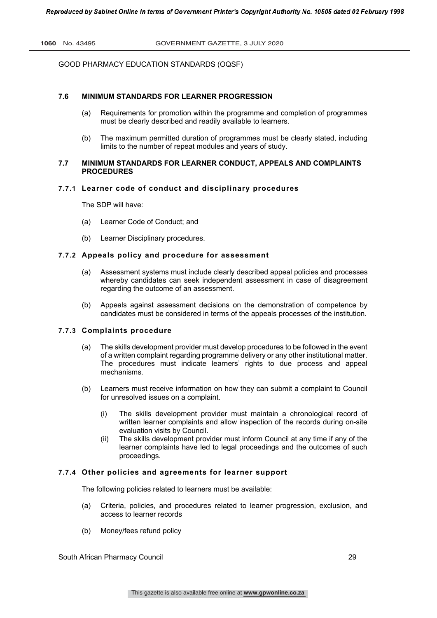# **7.6 MINIMUM STANDARDS FOR LEARNER PROGRESSION**

- (a) Requirements for promotion within the programme and completion of programmes must be clearly described and readily available to learners.
- (b) The maximum permitted duration of programmes must be clearly stated, including limits to the number of repeat modules and years of study.

# **7.7 MINIMUM STANDARDS FOR LEARNER CONDUCT, APPEALS AND COMPLAINTS PROCEDURES**

# **7.7.1 Learner code of conduct and disciplinary procedures**

The SDP will have:

- (a) Learner Code of Conduct; and
- (b) Learner Disciplinary procedures.

#### **7.7.2 Appeals policy and procedure for assessment**

- (a) Assessment systems must include clearly described appeal policies and processes whereby candidates can seek independent assessment in case of disagreement regarding the outcome of an assessment.
- (b) Appeals against assessment decisions on the demonstration of competence by candidates must be considered in terms of the appeals processes of the institution.

# **7.7.3 Complaints procedure**

- (a) The skills development provider must develop procedures to be followed in the event of a written complaint regarding programme delivery or any other institutional matter. The procedures must indicate learners' rights to due process and appeal mechanisms.
- (b) Learners must receive information on how they can submit a complaint to Council for unresolved issues on a complaint.
	- (i) The skills development provider must maintain a chronological record of written learner complaints and allow inspection of the records during on-site evaluation visits by Council.
	- (ii) The skills development provider must inform Council at any time if any of the learner complaints have led to legal proceedings and the outcomes of such proceedings.

# **7.7.4 Other policies and agreements for learner support**

The following policies related to learners must be available:

- (a) Criteria, policies, and procedures related to learner progression, exclusion, and access to learner records
- (b) Money/fees refund policy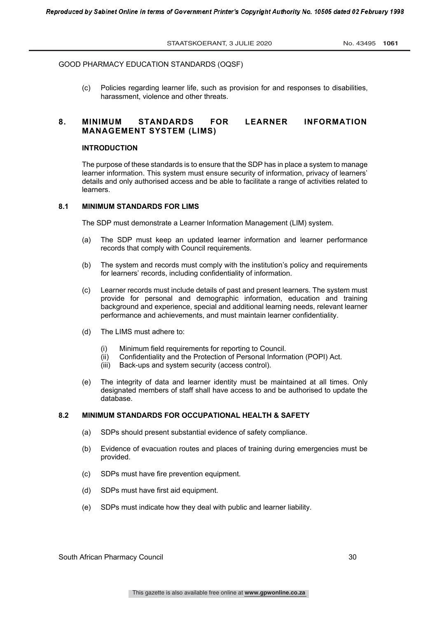(c) Policies regarding learner life, such as provision for and responses to disabilities, harassment, violence and other threats.

# **8. MINIMUM STANDARDS FOR LEARNER INFORMATION MANAGEMENT SYSTEM (LIMS)**

# **INTRODUCTION**

The purpose of these standards is to ensure that the SDP has in place a system to manage learner information. This system must ensure security of information, privacy of learners' details and only authorised access and be able to facilitate a range of activities related to learners.

#### **8.1 MINIMUM STANDARDS FOR LIMS**

The SDP must demonstrate a Learner Information Management (LIM) system.

- (a) The SDP must keep an updated learner information and learner performance records that comply with Council requirements.
- (b) The system and records must comply with the institution's policy and requirements for learners' records, including confidentiality of information.
- (c) Learner records must include details of past and present learners. The system must provide for personal and demographic information, education and training background and experience, special and additional learning needs, relevant learner performance and achievements, and must maintain learner confidentiality.
- (d) The LIMS must adhere to:
	- (i) Minimum field requirements for reporting to Council.<br>(ii) Confidentiality and the Protection of Personal Inform
	- (ii) Confidentiality and the Protection of Personal Information (POPI) Act.<br>(iii) Back-ups and system security (access control).
	- Back-ups and system security (access control).
- (e) The integrity of data and learner identity must be maintained at all times. Only designated members of staff shall have access to and be authorised to update the database.

# **8.2 MINIMUM STANDARDS FOR OCCUPATIONAL HEALTH & SAFETY**

- (a) SDPs should present substantial evidence of safety compliance.
- (b) Evidence of evacuation routes and places of training during emergencies must be provided.
- (c) SDPs must have fire prevention equipment.
- (d) SDPs must have first aid equipment.
- (e) SDPs must indicate how they deal with public and learner liability.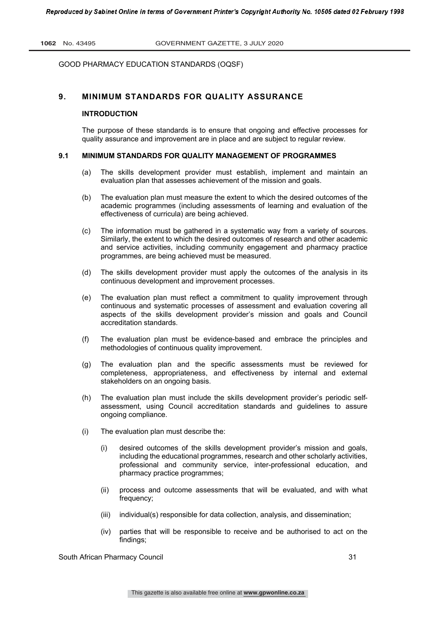# **9. MINIMUM STANDARDS FOR QUALITY ASSURANCE**

#### **INTRODUCTION**

The purpose of these standards is to ensure that ongoing and effective processes for quality assurance and improvement are in place and are subject to regular review.

#### **9.1 MINIMUM STANDARDS FOR QUALITY MANAGEMENT OF PROGRAMMES**

- (a) The skills development provider must establish, implement and maintain an evaluation plan that assesses achievement of the mission and goals.
- (b) The evaluation plan must measure the extent to which the desired outcomes of the academic programmes (including assessments of learning and evaluation of the effectiveness of curricula) are being achieved.
- (c) The information must be gathered in a systematic way from a variety of sources. Similarly, the extent to which the desired outcomes of research and other academic and service activities, including community engagement and pharmacy practice programmes, are being achieved must be measured.
- (d) The skills development provider must apply the outcomes of the analysis in its continuous development and improvement processes.
- (e) The evaluation plan must reflect a commitment to quality improvement through continuous and systematic processes of assessment and evaluation covering all aspects of the skills development provider's mission and goals and Council accreditation standards.
- (f) The evaluation plan must be evidence-based and embrace the principles and methodologies of continuous quality improvement.
- (g) The evaluation plan and the specific assessments must be reviewed for completeness, appropriateness, and effectiveness by internal and external stakeholders on an ongoing basis.
- (h) The evaluation plan must include the skills development provider's periodic selfassessment, using Council accreditation standards and guidelines to assure ongoing compliance.
- (i) The evaluation plan must describe the:
	- (i) desired outcomes of the skills development provider's mission and goals, including the educational programmes, research and other scholarly activities, professional and community service, inter-professional education, and pharmacy practice programmes;
	- (ii) process and outcome assessments that will be evaluated, and with what frequency;
	- (iii) individual(s) responsible for data collection, analysis, and dissemination;
	- (iv) parties that will be responsible to receive and be authorised to act on the findings;

South African Pharmacy Council 31 and 31 and 31 31 31 31 31 32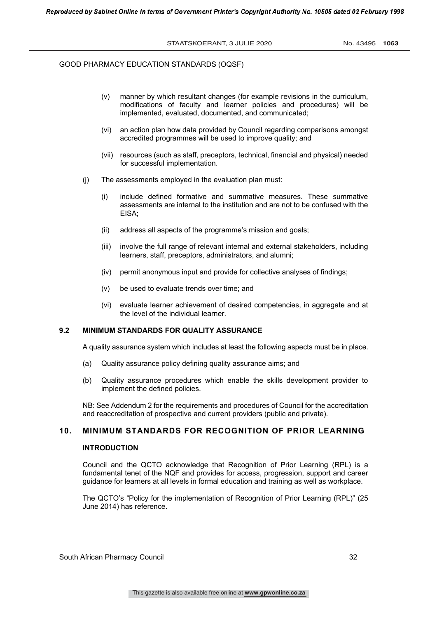- (v) manner by which resultant changes (for example revisions in the curriculum, modifications of faculty and learner policies and procedures) will be implemented, evaluated, documented, and communicated;
- (vi) an action plan how data provided by Council regarding comparisons amongst accredited programmes will be used to improve quality; and
- (vii) resources (such as staff, preceptors, technical, financial and physical) needed for successful implementation.
- (j) The assessments employed in the evaluation plan must:
	- (i) include defined formative and summative measures. These summative assessments are internal to the institution and are not to be confused with the EISA;
	- (ii) address all aspects of the programme's mission and goals;
	- (iii) involve the full range of relevant internal and external stakeholders, including learners, staff, preceptors, administrators, and alumni;
	- (iv) permit anonymous input and provide for collective analyses of findings;
	- (v) be used to evaluate trends over time; and
	- (vi) evaluate learner achievement of desired competencies, in aggregate and at the level of the individual learner.

# **9.2 MINIMUM STANDARDS FOR QUALITY ASSURANCE**

A quality assurance system which includes at least the following aspects must be in place.

- (a) Quality assurance policy defining quality assurance aims; and
- (b) Quality assurance procedures which enable the skills development provider to implement the defined policies.

NB: See Addendum 2 for the requirements and procedures of Council for the accreditation and reaccreditation of prospective and current providers (public and private).

# **10. MINIMUM STANDARDS FOR RECOGNITION OF PRIOR LEARNING**

#### **INTRODUCTION**

Council and the QCTO acknowledge that Recognition of Prior Learning (RPL) is a fundamental tenet of the NQF and provides for access, progression, support and career guidance for learners at all levels in formal education and training as well as workplace.

The QCTO's "Policy for the implementation of Recognition of Prior Learning (RPL)" (25 June 2014) has reference.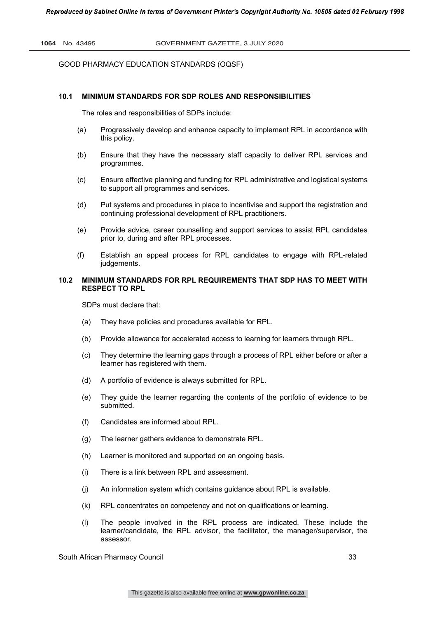#### **10.1 MINIMUM STANDARDS FOR SDP ROLES AND RESPONSIBILITIES**

The roles and responsibilities of SDPs include:

- (a) Progressively develop and enhance capacity to implement RPL in accordance with this policy.
- (b) Ensure that they have the necessary staff capacity to deliver RPL services and programmes.
- (c) Ensure effective planning and funding for RPL administrative and logistical systems to support all programmes and services.
- (d) Put systems and procedures in place to incentivise and support the registration and continuing professional development of RPL practitioners.
- (e) Provide advice, career counselling and support services to assist RPL candidates prior to, during and after RPL processes.
- (f) Establish an appeal process for RPL candidates to engage with RPL-related judgements.

# **10.2 MINIMUM STANDARDS FOR RPL REQUIREMENTS THAT SDP HAS TO MEET WITH RESPECT TO RPL**

SDPs must declare that:

- (a) They have policies and procedures available for RPL.
- (b) Provide allowance for accelerated access to learning for learners through RPL.
- (c) They determine the learning gaps through a process of RPL either before or after a learner has registered with them.
- (d) A portfolio of evidence is always submitted for RPL.
- (e) They guide the learner regarding the contents of the portfolio of evidence to be submitted.
- (f) Candidates are informed about RPL.
- (g) The learner gathers evidence to demonstrate RPL.
- (h) Learner is monitored and supported on an ongoing basis.
- (i) There is a link between RPL and assessment.
- (j) An information system which contains guidance about RPL is available.
- (k) RPL concentrates on competency and not on qualifications or learning.
- (l) The people involved in the RPL process are indicated. These include the learner/candidate, the RPL advisor, the facilitator, the manager/supervisor, the assessor.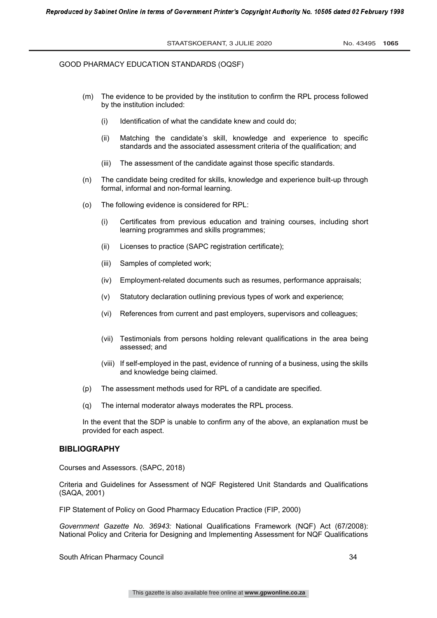- (m) The evidence to be provided by the institution to confirm the RPL process followed by the institution included:
	- (i) Identification of what the candidate knew and could do;
	- (ii) Matching the candidate's skill, knowledge and experience to specific standards and the associated assessment criteria of the qualification; and
	- (iii) The assessment of the candidate against those specific standards.
- (n) The candidate being credited for skills, knowledge and experience built-up through formal, informal and non-formal learning.
- (o) The following evidence is considered for RPL:
	- (i) Certificates from previous education and training courses, including short learning programmes and skills programmes;
	- (ii) Licenses to practice (SAPC registration certificate);
	- (iii) Samples of completed work;
	- (iv) Employment-related documents such as resumes, performance appraisals;
	- (v) Statutory declaration outlining previous types of work and experience;
	- (vi) References from current and past employers, supervisors and colleagues;
	- (vii) Testimonials from persons holding relevant qualifications in the area being assessed; and
	- (viii) If self-employed in the past, evidence of running of a business, using the skills and knowledge being claimed.
- (p) The assessment methods used for RPL of a candidate are specified.
- (q) The internal moderator always moderates the RPL process.

In the event that the SDP is unable to confirm any of the above, an explanation must be provided for each aspect.

#### **BIBLIOGRAPHY**

Courses and Assessors. (SAPC, 2018)

Criteria and Guidelines for Assessment of NQF Registered Unit Standards and Qualifications (SAQA, 2001)

FIP Statement of Policy on Good Pharmacy Education Practice (FIP, 2000)

*Government Gazette No. 36943:* National Qualifications Framework (NQF) Act (67/2008): National Policy and Criteria for Designing and Implementing Assessment for NQF Qualifications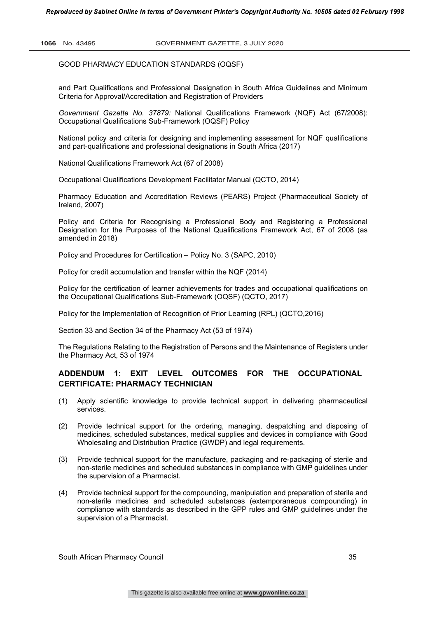and Part Qualifications and Professional Designation in South Africa Guidelines and Minimum Criteria for Approval/Accreditation and Registration of Providers

*Government Gazette No. 37879:* National Qualifications Framework (NQF) Act (67/2008): Occupational Qualifications Sub-Framework (OQSF) Policy

National policy and criteria for designing and implementing assessment for NQF qualifications and part-qualifications and professional designations in South Africa (2017)

National Qualifications Framework Act (67 of 2008)

Occupational Qualifications Development Facilitator Manual (QCTO, 2014)

Pharmacy Education and Accreditation Reviews (PEARS) Project (Pharmaceutical Society of Ireland, 2007)

Policy and Criteria for Recognising a Professional Body and Registering a Professional Designation for the Purposes of the National Qualifications Framework Act, 67 of 2008 (as amended in 2018)

Policy and Procedures for Certification – Policy No. 3 (SAPC, 2010)

Policy for credit accumulation and transfer within the NQF (2014)

Policy for the certification of learner achievements for trades and occupational qualifications on the Occupational Qualifications Sub-Framework (OQSF) (QCTO, 2017)

Policy for the Implementation of Recognition of Prior Learning (RPL) (QCTO,2016)

Section 33 and Section 34 of the Pharmacy Act (53 of 1974)

The Regulations Relating to the Registration of Persons and the Maintenance of Registers under the Pharmacy Act, 53 of 1974

# **ADDENDUM 1: EXIT LEVEL OUTCOMES FOR THE OCCUPATIONAL CERTIFICATE: PHARMACY TECHNICIAN**

- (1) Apply scientific knowledge to provide technical support in delivering pharmaceutical services.
- (2) Provide technical support for the ordering, managing, despatching and disposing of medicines, scheduled substances, medical supplies and devices in compliance with Good Wholesaling and Distribution Practice (GWDP) and legal requirements.
- (3) Provide technical support for the manufacture, packaging and re-packaging of sterile and non-sterile medicines and scheduled substances in compliance with GMP guidelines under the supervision of a Pharmacist.
- (4) Provide technical support for the compounding, manipulation and preparation of sterile and non-sterile medicines and scheduled substances (extemporaneous compounding) in compliance with standards as described in the GPP rules and GMP guidelines under the supervision of a Pharmacist.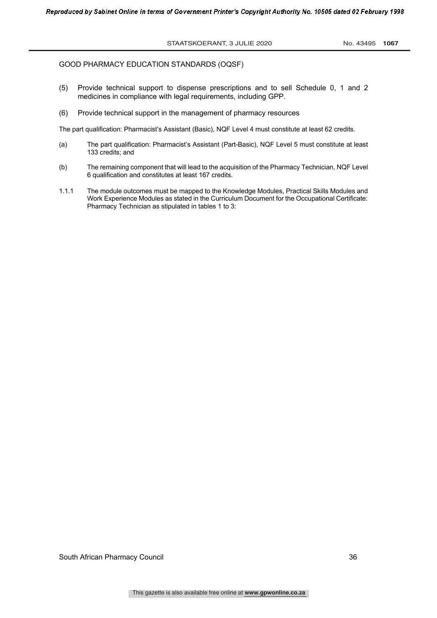- (5) Provide technical support to dispense prescriptions and to sell Schedule 0, 1 and 2 medicines in compliance with legal requirements, including GPP.
- (6) Provide technical support in the management of pharmacy resources

The part qualification: Pharmacist's Assistant (Basic), NQF Level 4 must constitute at least 62 credits.

- (a) The part qualification: Pharmacist's Assistant (Part-Basic), NQF Level 5 must constitute at least 133 credits; and
- (b) The remaining component that will lead to the acquisition of the Pharmacy Technician, NQF Level 6 qualification and constitutes at least 167 credits.
- 1.1.1 The module outcomes must be mapped to the Knowledge Modules, Practical Skills Modules and Work Experience Modules as stated in the Curriculum Document for the Occupational Certificate: Pharmacy Technician as stipulated in tables 1 to 3: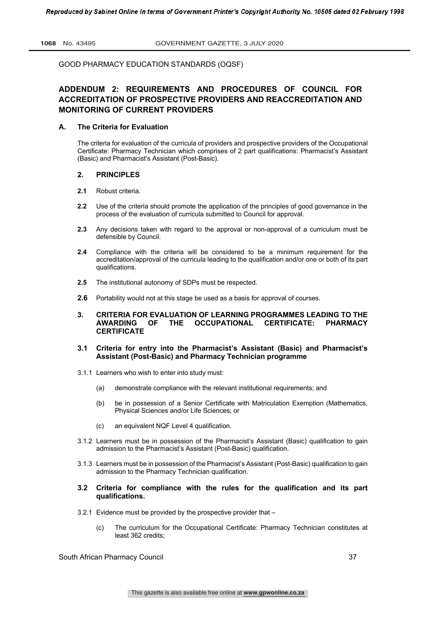# **ADDENDUM 2: REQUIREMENTS AND PROCEDURES OF COUNCIL FOR ACCREDITATION OF PROSPECTIVE PROVIDERS AND REACCREDITATION AND MONITORING OF CURRENT PROVIDERS**

#### **A. The Criteria for Evaluation**

The criteria for evaluation of the curricula of providers and prospective providers of the Occupational Certificate: Pharmacy Technician which comprises of 2 part qualifications: Pharmacist's Assistant (Basic) and Pharmacist's Assistant (Post-Basic).

# **2. PRINCIPLES**

- **2.1** Robust criteria.
- **2.2** Use of the criteria should promote the application of the principles of good governance in the process of the evaluation of curricula submitted to Council for approval.
- **2.3** Any decisions taken with regard to the approval or non-approval of a curriculum must be defensible by Council.
- **2.4** Compliance with the criteria will be considered to be a minimum requirement for the accreditation/approval of the curricula leading to the qualification and/or one or both of its part qualifications.
- **2.5** The institutional autonomy of SDPs must be respected.
- **2.6** Portability would not at this stage be used as a basis for approval of courses.

#### **3. CRITERIA FOR EVALUATION OF LEARNING PROGRAMMES LEADING TO THE AWARDING OF THE OCCUPATIONAL CERTIFICATE: PHARMACY CERTIFICATE**

# **3.1 Criteria for entry into the Pharmacist's Assistant (Basic) and Pharmacist's Assistant (Post-Basic) and Pharmacy Technician programme**

- 3.1.1 Learners who wish to enter into study must:
	- (a) demonstrate compliance with the relevant institutional requirements; and
	- (b) be in possession of a Senior Certificate with Matriculation Exemption (Mathematics, Physical Sciences and/or Life Sciences; or
	- (c) an equivalent NQF Level 4 qualification.
- 3.1.2 Learners must be in possession of the Pharmacist's Assistant (Basic) qualification to gain admission to the Pharmacist's Assistant (Post-Basic) qualification.
- 3.1.3 Learners must be in possession of the Pharmacist's Assistant (Post-Basic) qualification to gain admission to the Pharmacy Technician qualification.

#### **3.2 Criteria for compliance with the rules for the qualification and its part qualifications.**

- 3.2.1 Evidence must be provided by the prospective provider that
	- (c) The curriculum for the Occupational Certificate: Pharmacy Technician constitutes at least 362 credits;

South African Pharmacy Council 37 (37) 37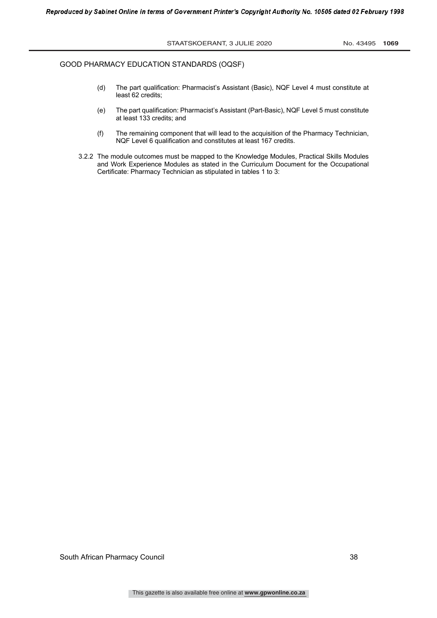- (d) The part qualification: Pharmacist's Assistant (Basic), NQF Level 4 must constitute at least 62 credits;
- (e) The part qualification: Pharmacist's Assistant (Part-Basic), NQF Level 5 must constitute at least 133 credits; and
- (f) The remaining component that will lead to the acquisition of the Pharmacy Technician, NQF Level 6 qualification and constitutes at least 167 credits.
- 3.2.2 The module outcomes must be mapped to the Knowledge Modules, Practical Skills Modules and Work Experience Modules as stated in the Curriculum Document for the Occupational Certificate: Pharmacy Technician as stipulated in tables 1 to 3: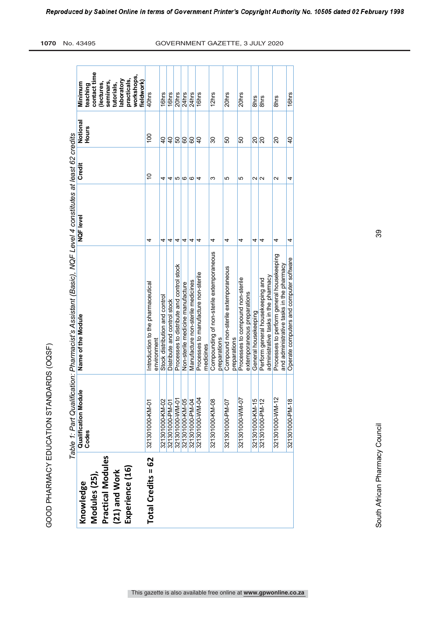| しくくくしん                              |
|-------------------------------------|
|                                     |
|                                     |
|                                     |
|                                     |
|                                     |
|                                     |
| ;<br>ו                              |
| - < (1-4 - 1-0 - 4 (1-1 - 0 - 1-0 - |
|                                     |
| ์<br>;                              |
| I                                   |
|                                     |
|                                     |
| とらくく                                |

|                                                                                     |                               | Table 1: Part Qualification: Pharmacist's Assistant (Basic), NQF Level 4 constitutes at least 62 credits |           |                   |                          |                                                                                                                                       |
|-------------------------------------------------------------------------------------|-------------------------------|----------------------------------------------------------------------------------------------------------|-----------|-------------------|--------------------------|---------------------------------------------------------------------------------------------------------------------------------------|
| Practical Modules<br>Experience (16)<br>(21) and Work<br>Modules (25),<br>Knowledge | Qualification Module<br>Codes | Name of the Module                                                                                       | NQF level | Credit            | Notional<br><b>Hours</b> | contact time<br>workshops,<br>practicals,<br>laboratory<br>fieldwork)<br>seminars,<br>Minimum<br>(lectures,<br>tutorials,<br>teaching |
| Total Credits = 62                                                                  | 321301000-KM-01               | Introduction to the pharmaceutical<br>environment                                                        | 4         | $\frac{0}{1}$     | $\frac{8}{2}$            | 40hrs                                                                                                                                 |
|                                                                                     | 321301000-KM-02               | Stock distribution and control                                                                           | 4         | 4                 | $\overline{6}$           | 16hrs                                                                                                                                 |
|                                                                                     | 321301000-PM-01               | Distribute and control stock                                                                             | 4         | 4                 | $\overline{6}$           | 16hrs                                                                                                                                 |
|                                                                                     | 321301000-WM-01               | Processes to distribute and control stock                                                                | 4         | 5                 | SO                       | 20hrs                                                                                                                                 |
|                                                                                     | 321301000-KM-05               | Non-sterile medicine manufacture                                                                         | 4         | ဖ                 | 80                       | 24hrs                                                                                                                                 |
|                                                                                     | 321301000-PM-04               | Manufacture non-sterile medicines                                                                        | 4         | ဖ                 | န္တ                      | 24hrs                                                                                                                                 |
|                                                                                     | 321301000-WM-04               | Processes to manufacture non-sterile<br>medicines                                                        | 4         | 4                 | $\overline{a}$           | 16hrs                                                                                                                                 |
|                                                                                     | 321301000-KM-08               | Compounding of non-sterile extemporaneous<br>preparations                                                | 4         | ω                 | 80                       | 12hrs                                                                                                                                 |
|                                                                                     | 321301000-PM-07               | Compound non-sterile extemporaneous<br>preparations                                                      | 4         | 5                 | 8                        | 20hrs                                                                                                                                 |
|                                                                                     | 321301000-WM-07               | Processes to compound non-sterile<br>extemporaneous preparations                                         | 4         | 5                 | 8                        | 20hrs                                                                                                                                 |
|                                                                                     | 321301000-KM-15               | General housekeeping                                                                                     | 4         | $\mathbf{\Omega}$ | 20                       | 8hrs                                                                                                                                  |
|                                                                                     | 321301000-PM-12               | administrative tasks in the pharmacy<br>Perform general housekeeping and                                 | 4         | $\mathbf{\Omega}$ | $\overline{\mathsf{S}}$  | 8hrs                                                                                                                                  |
|                                                                                     | 321301000-WM-12               | Processes to perform general housekeeping<br>and administrative tasks in the pharmacy                    | 4         | $\mathbf{\Omega}$ | 20                       | 8hrs                                                                                                                                  |
|                                                                                     | 321301000-PM-18               | Operate computers and computer software                                                                  | 4         | 4                 | $\overline{4}$           | 16hrs                                                                                                                                 |

39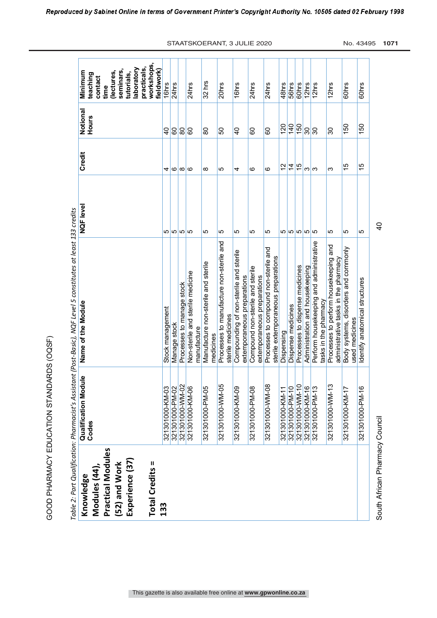|                                                                                                       |                                                       | Table 2: Part Qualification: Pharmacist's Assistant (Post-Basic), NQF Level 5 constitutes at least 133 credits |                |                |                          |                                                                                                                            |
|-------------------------------------------------------------------------------------------------------|-------------------------------------------------------|----------------------------------------------------------------------------------------------------------------|----------------|----------------|--------------------------|----------------------------------------------------------------------------------------------------------------------------|
| Practical Modules<br>Experience (37)<br>Total Credits =<br>(52) and Work<br>Modules (44)<br>Knowledge | <b>Qualification Module</b><br>Codes                  | Name of the Module                                                                                             | NQF level      | Credit         | Notional<br><b>Hours</b> | workshops,<br>practicals,<br>laboratory<br>seminars,<br>Minimum<br>(lectures,<br>tutorials,<br>teaching<br>contact<br>time |
| 133                                                                                                   |                                                       |                                                                                                                |                |                |                          | fieldwork)                                                                                                                 |
|                                                                                                       | 321301000-KM-03<br>321301000-PM-02<br>321301000-WM-02 | Stock management                                                                                               | ന ന ന ന        | 4              | $\overline{a}$           | 16hrs                                                                                                                      |
|                                                                                                       |                                                       | Manage stock                                                                                                   |                | G              | 60                       | 24hrs                                                                                                                      |
|                                                                                                       |                                                       | Processes to manage stock                                                                                      |                | $\infty$       | န္တ                      |                                                                                                                            |
|                                                                                                       | 321301000-KM-06                                       | Non-sterile and sterile medicine<br>manufacture                                                                |                | <u>ေ</u>       | ြင                       | 24hrs                                                                                                                      |
|                                                                                                       | 321301000-PM-05                                       | Manufacture non-sterile and sterile<br>medicines                                                               | 5              | $\infty$       | 80                       | 32 hrs                                                                                                                     |
|                                                                                                       | 321301000-WM-05                                       | Processes to manufacture non-sterile and<br>sterile medicines                                                  | 5              | 5              | 50                       | 20hrs                                                                                                                      |
|                                                                                                       | 321301000-KM-09                                       | Compounding of non-sterile and sterile<br>extemporaneous preparations                                          | 5              | 4              | $\overline{a}$           | 16hrs                                                                                                                      |
|                                                                                                       | 321301000-PM-08                                       | Compound non-sterile and sterile<br>extemporaneous preparations                                                | 5              | ဖ              | 8                        | 24hrs                                                                                                                      |
|                                                                                                       | $\overline{\infty}$<br>321301000-WM-0                 | Processes to compound non-sterile and<br>sterile extemporaneous preparations                                   | 5              | ဖ              | 8                        | 24hrs                                                                                                                      |
|                                                                                                       | $\overline{\phantom{0}}$<br>321301000-KM-1            | Dispensing                                                                                                     |                | 51             | 120                      | 48hrs                                                                                                                      |
|                                                                                                       | 321301000-PM-10                                       | Dispense medicines                                                                                             |                | $\overline{4}$ | $\frac{40}{5}$           | 56hrs                                                                                                                      |
|                                                                                                       | 321301000-WM-10                                       | Processes to dispense medicines                                                                                | ന ന ന ന        | 15             | 150                      | 60hrs                                                                                                                      |
|                                                                                                       |                                                       | Administration and housekeeping                                                                                |                | က $\sim$       | 30                       | 12hrs                                                                                                                      |
|                                                                                                       | 321301000-KM-16<br>321301000-PM-13                    | Perform housekeeping and administrative<br>tasks in the pharmacy                                               |                |                | န္တ                      | $\frac{2}{2}$                                                                                                              |
|                                                                                                       | ω<br>321301000-WM-1                                   | Processes to perform housekeeping and<br>administrative tasks in the pharmacy                                  | 5              | ω              | 30                       | 12hrs                                                                                                                      |
|                                                                                                       | 321301000-KM-17                                       | Body systems, disorders and commonly<br>medicines<br>used                                                      | ю              | 15             | 150                      | 60hrs                                                                                                                      |
|                                                                                                       | 321301000-PM-16                                       | Identify anatomical structures                                                                                 | 5              | 15             | 150                      | 60hrs                                                                                                                      |
| South African Pharmacy Council                                                                        |                                                       |                                                                                                                | $\overline{a}$ |                |                          |                                                                                                                            |

This gazette is also available free online at **www.gpwonline.co.za**

STAATSKOERANT, 3 JULIE 2020 No. 43495 1071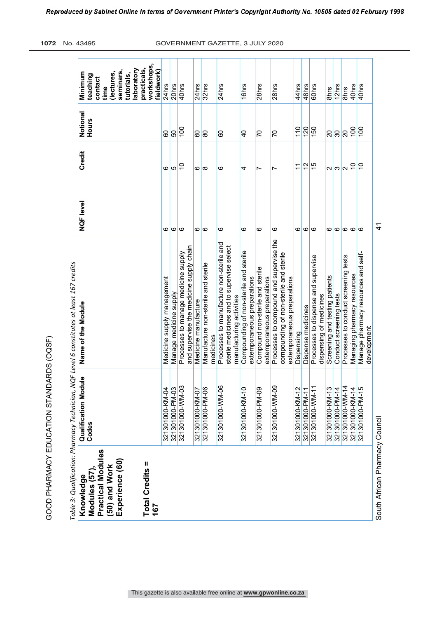| こくく くらし       |
|---------------|
| I<br>ļ        |
|               |
| きょうしょう こうしょう  |
|               |
| こうこうしくくく<br>1 |
|               |

ίŤ

**workshops,**  workshops **laboratory practicals,**  practicals, laboratory **fieldwork) seminars, Minimum teaching (lectures, tutorials, contact**  24hrs  $\frac{20}{\text{hrs}}$ 40hrs 24hrs 32hrs 24hrs **I**Ghrs  $28hrs$ 28hrs 44hrs 48hrs 60hrs 12hrs 40hrs 40hrs 321301000-KM-04 Medicine supply management 6 6 6 60 60 24hrs 321301000-PM-03 Manage medicine supply  $6$   $5$   $50$ 6 10 100 40hrs 321301000-KM-07 Medicine manufacture 6 6 60 24hrs 6 8 80 32hrs 6 6 6 24hrs 6 4 40 16hrs 6 7 7 28hrs 6 7 70 28hrs 321301000-KM-12 Dispensing 6 11 110 44hrs 321301000-PM-11 Dispense medicines 6 12 120 48hrs 6 15 150 60hrs  $321301000\text{-PM-14}$  Conduct screening tests  $6$   $3$   $30$   $30$ 321301000-KM-14 Managing pharmacy resources 6 10 100 40hrs 321301000-PM-15 Manage pharmacy resources and self- development 6 10 100 40hrs**time** ants 8hrs 321301000-KM-13 Screening and testing patients 6 6 2 20 8hrs 321301000-WM-14 Processes to conduct screening tests 6 6 2 20 20 8hrs **Name of the Module NQF level Credit Notional**  Notional **Hours**  $\frac{1}{3}$  $\sqrt{888e^2}$  $\frac{1}{2}$ <u>ခြင်း</u>  $|8$ <u>င္တ</u>န္တြ 8 lə 5 Credit  $\frac{1}{2}$ a  $|5|$ က်  $|v| \omega |$ u $|z|$ 5  $\overline{r}$  $\circ \circ$  $\circ$  $\overline{a}$ NQF level  $\circ$   $\circ$   $\circ$  $\circ$  $\circ$ ی ٰ  $\circ$  $\circ$  $\omega$ ماها $\sigma$  $\omega$ ||0||0||0| 321301000-WM-09 Processes to compound and supervise the Processes to compound and supervise the 321301000-WM-06 Processes to manufacture non-sterile and medicines<br>Processes to manufacture non-sterile and sterile medicines and to supervise select and supervise the medicine supply chain and supervise the medicine supply chain sterile medicines and to supervise select 321301000-KM-10 Compounding of non-sterile and sterile 321301000-WM-03 Processes to manage medicine supply Compounding of non-sterile and sterile compounding of non-sterile and sterile Processes to manage medicine supply compounding of non-sterile and sterile Manage pharmacy resources and self-321301000-WM-11 Processes to dispense and supervise Processes to dispense and supervise Processes to conduct screening tests able 3: Qualification: Pharmacy Technician, NQF Level 6 constitutes at least 167 credits 321301000-PM-06 Manufacture non-sterile and sterile *Table 3: Qualification: Pharmacy Technician, NQF Level 6 constitutes at least 167 credits* Manufacture non-sterile and sterile 321301000-PM-09 Compound non-sterile and sterile Compound non-sterile and sterile Managing pharmacy resources extemporaneous preparations Screening and testing patients extemporaneous preparations extemporaneous preparations Medicine supply management extemporaneous preparations extemporaneous preparations extemporaneous preparations Manage medicine supply Conduct screening tests dispensing of medicines dispensing of medicines manufacturing activities manufacturing activities Medicine manufacture Name of the Module Dispense medicines development Dispensing **Qualification Module**<br>Codes **Qualification Module**  321301000-WM-03 80-MW-00013013213 321301000-KM-04 321301000-PM-03 321301000-PM-06 321301000-WM-06 321301000-KM-10 321301000-PM-09 321301000-KM-12 321301000-WM-11 321301000-KM-13 321301000-PM-14 321301000-WM-14 321301000-KM-14<br>321301000-PM-15 321301000-KM-07 321301000-PM-11 **Practical Modules**  Practical Modules **Experience (60)**  Experience (60) Total Credits = **Total Credits = (50) and Work**  50) and Work **Modules (57),**  Modules (57) Knowledge **Knowledge 167**

South African Pharmacy Council 41

South African Pharmacy Council

 $\frac{4}{3}$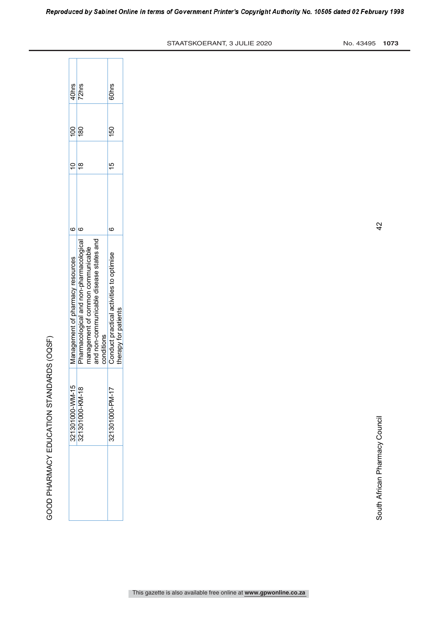| くくくにん                            |
|----------------------------------|
|                                  |
| l                                |
|                                  |
| ֧֧֢֚֡֕֓<br>֧֦֜֜֜֜֜֜֜֜֜֜֜֜֜֜<br>i |
|                                  |
|                                  |
|                                  |
|                                  |
| こくしょくこくし                         |
| l                                |
|                                  |
|                                  |
| I                                |
| ׇ֠                               |
| Í<br>Í                           |
|                                  |
| ä                                |

| Pharmacological and non-pharmacological<br>Management of pharmacy resources |
|-----------------------------------------------------------------------------|
| 321301000-WM-15<br>321301000-KM-18                                          |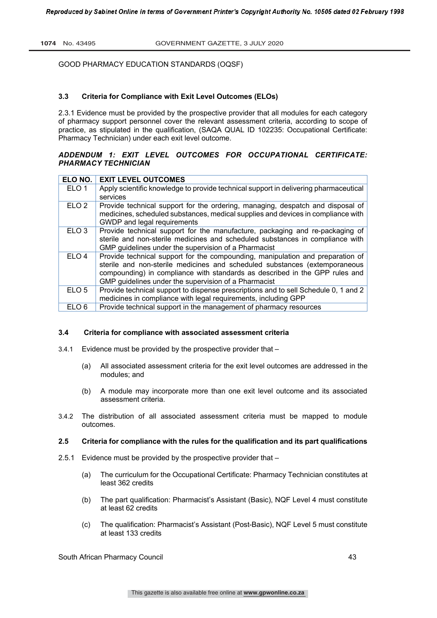# **3.3 Criteria for Compliance with Exit Level Outcomes (ELOs)**

2.3.1 Evidence must be provided by the prospective provider that all modules for each category of pharmacy support personnel cover the relevant assessment criteria, according to scope of practice, as stipulated in the qualification, (SAQA QUAL ID 102235: Occupational Certificate: Pharmacy Technician) under each exit level outcome.

# *ADDENDUM 1: EXIT LEVEL OUTCOMES FOR OCCUPATIONAL CERTIFICATE: PHARMACY TECHNICIAN*

| ELO NO.          | <b>EXIT LEVEL OUTCOMES</b>                                                           |
|------------------|--------------------------------------------------------------------------------------|
| ELO <sub>1</sub> | Apply scientific knowledge to provide technical support in delivering pharmaceutical |
|                  | services                                                                             |
| ELO <sub>2</sub> | Provide technical support for the ordering, managing, despatch and disposal of       |
|                  | medicines, scheduled substances, medical supplies and devices in compliance with     |
|                  | GWDP and legal requirements                                                          |
| ELO <sub>3</sub> | Provide technical support for the manufacture, packaging and re-packaging of         |
|                  | sterile and non-sterile medicines and scheduled substances in compliance with        |
|                  | GMP guidelines under the supervision of a Pharmacist                                 |
| ELO <sub>4</sub> | Provide technical support for the compounding, manipulation and preparation of       |
|                  | sterile and non-sterile medicines and scheduled substances (extemporaneous           |
|                  | compounding) in compliance with standards as described in the GPP rules and          |
|                  | GMP guidelines under the supervision of a Pharmacist                                 |
| ELO <sub>5</sub> | Provide technical support to dispense prescriptions and to sell Schedule 0, 1 and 2  |
|                  | medicines in compliance with legal requirements, including GPP                       |
| ELO <sub>6</sub> | Provide technical support in the management of pharmacy resources                    |

#### **3.4 Criteria for compliance with associated assessment criteria**

- 3.4.1 Evidence must be provided by the prospective provider that
	- (a) All associated assessment criteria for the exit level outcomes are addressed in the modules; and
	- (b) A module may incorporate more than one exit level outcome and its associated assessment criteria.
- 3.4.2 The distribution of all associated assessment criteria must be mapped to module outcomes.

# **2.5 Criteria for compliance with the rules for the qualification and its part qualifications**

- 2.5.1 Evidence must be provided by the prospective provider that
	- (a) The curriculum for the Occupational Certificate: Pharmacy Technician constitutes at least 362 credits
	- (b) The part qualification: Pharmacist's Assistant (Basic), NQF Level 4 must constitute at least 62 credits
	- (c) The qualification: Pharmacist's Assistant (Post-Basic), NQF Level 5 must constitute at least 133 credits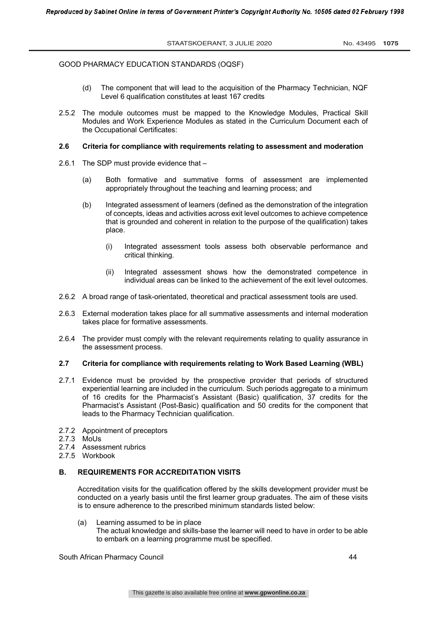- (d) The component that will lead to the acquisition of the Pharmacy Technician, NQF Level 6 qualification constitutes at least 167 credits
- 2.5.2 The module outcomes must be mapped to the Knowledge Modules, Practical Skill Modules and Work Experience Modules as stated in the Curriculum Document each of the Occupational Certificates:

#### **2.6 Criteria for compliance with requirements relating to assessment and moderation**

- 2.6.1 The SDP must provide evidence that
	- (a) Both formative and summative forms of assessment are implemented appropriately throughout the teaching and learning process; and
	- (b) Integrated assessment of learners (defined as the demonstration of the integration of concepts, ideas and activities across exit level outcomes to achieve competence that is grounded and coherent in relation to the purpose of the qualification) takes place.
		- (i) Integrated assessment tools assess both observable performance and critical thinking.
		- (ii) Integrated assessment shows how the demonstrated competence in individual areas can be linked to the achievement of the exit level outcomes.
- 2.6.2 A broad range of task-orientated, theoretical and practical assessment tools are used.
- 2.6.3 External moderation takes place for all summative assessments and internal moderation takes place for formative assessments.
- 2.6.4 The provider must comply with the relevant requirements relating to quality assurance in the assessment process.

# **2.7 Criteria for compliance with requirements relating to Work Based Learning (WBL)**

- 2.7.1 Evidence must be provided by the prospective provider that periods of structured experiential learning are included in the curriculum. Such periods aggregate to a minimum of 16 credits for the Pharmacist's Assistant (Basic) qualification, 37 credits for the Pharmacist's Assistant (Post-Basic) qualification and 50 credits for the component that leads to the Pharmacy Technician qualification.
- 2.7.2 Appointment of preceptors
- 2.7.3 MoUs
- 2.7.4 Assessment rubrics
- 2.7.5 Workbook

# **B. REQUIREMENTS FOR ACCREDITATION VISITS**

Accreditation visits for the qualification offered by the skills development provider must be conducted on a yearly basis until the first learner group graduates. The aim of these visits is to ensure adherence to the prescribed minimum standards listed below:

(a) Learning assumed to be in place

The actual knowledge and skills-base the learner will need to have in order to be able to embark on a learning programme must be specified.